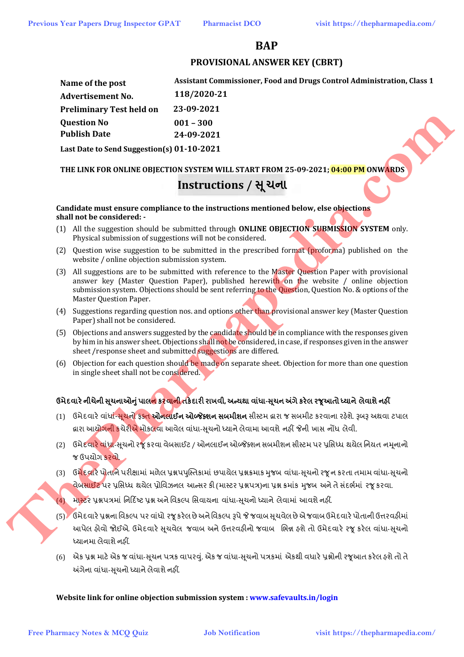### **BAP**

#### **PROVISIONAL ANSWER KEY (CBRT)**

|     | <b>Previous Year Papers Drug Inspector GPAT</b>                                                                                                                                                                                                                                                                                 | <b>Pharmacist DCO</b>                                                                                                                                                                                           | visit https://thepharmapedia.com/                                      |
|-----|---------------------------------------------------------------------------------------------------------------------------------------------------------------------------------------------------------------------------------------------------------------------------------------------------------------------------------|-----------------------------------------------------------------------------------------------------------------------------------------------------------------------------------------------------------------|------------------------------------------------------------------------|
|     |                                                                                                                                                                                                                                                                                                                                 | <b>BAP</b>                                                                                                                                                                                                      |                                                                        |
|     |                                                                                                                                                                                                                                                                                                                                 | <b>PROVISIONAL ANSWER KEY (CBRT)</b>                                                                                                                                                                            |                                                                        |
|     | Name of the post<br><b>Advertisement No.</b>                                                                                                                                                                                                                                                                                    | 118/2020-21                                                                                                                                                                                                     | Assistant Commissioner, Food and Drugs Control Administration, Class 1 |
|     | <b>Preliminary Test held on</b>                                                                                                                                                                                                                                                                                                 | 23-09-2021                                                                                                                                                                                                      |                                                                        |
|     | <b>Question No</b>                                                                                                                                                                                                                                                                                                              | $001 - 300$                                                                                                                                                                                                     |                                                                        |
|     | <b>Publish Date</b>                                                                                                                                                                                                                                                                                                             | 24-09-2021                                                                                                                                                                                                      |                                                                        |
|     | Last Date to Send Suggestion(s) 01-10-2021                                                                                                                                                                                                                                                                                      |                                                                                                                                                                                                                 |                                                                        |
|     |                                                                                                                                                                                                                                                                                                                                 | THE LINK FOR ONLINE OBJECTION SYSTEM WILL START FROM 25-09-2021; 04:00 PM ONWARDS                                                                                                                               |                                                                        |
|     |                                                                                                                                                                                                                                                                                                                                 | Instructions / सूथना                                                                                                                                                                                            |                                                                        |
|     | shall not be considered: -                                                                                                                                                                                                                                                                                                      | Candidate must ensure compliance to the instructions mentioned below, else objections                                                                                                                           |                                                                        |
|     | Physical submission of suggestions will not be considered.                                                                                                                                                                                                                                                                      | (1) All the suggestion should be submitted through ONLINE OBJECTION SUBMISSION SYSTEM only.                                                                                                                     |                                                                        |
| (2) | website / online objection submission system.                                                                                                                                                                                                                                                                                   | Question wise suggestion to be submitted in the prescribed format (proforma) published on the                                                                                                                   |                                                                        |
| (3) | All suggestions are to be submitted with reference to the Master Question Paper with provisional<br>answer key (Master Question Paper), published herewith on the website / online objection<br>submission system. Objections should be sent referring to the Question, Question No. & options of the<br>Master Question Paper. |                                                                                                                                                                                                                 |                                                                        |
| (4) | Paper) shall not be considered.                                                                                                                                                                                                                                                                                                 | Suggestions regarding question nos. and options other than provisional answer key (Master Question                                                                                                              |                                                                        |
| (5) | sheet /response sheet and submitted suggestions are differed.                                                                                                                                                                                                                                                                   | Objections and answers suggested by the candidate should be in compliance with the responses given<br>by him in his answer sheet. Objections shall not be considered, in case, if responses given in the answer |                                                                        |
| (6) | in single sheet shall not be considered.                                                                                                                                                                                                                                                                                        | Objection for each question should be made on separate sheet. Objection for more than one question                                                                                                              |                                                                        |
|     |                                                                                                                                                                                                                                                                                                                                 | ઉમેદવારે નીચેની સૂચનાઓનું પાલ <mark>ન</mark> કરવા <mark>ની ત</mark> કેદારી રાખવી, અન્યથા વાંધા-સૂચન અંગે કરેલ રજૂઆતો ધ્યાને લેવાશે નહીં                                                                         |                                                                        |
| (1) |                                                                                                                                                                                                                                                                                                                                 | ઉમેદવારે વાંધાં-સૂચનો ફક્ત <b>ઓનલાઈન ઓબ્જેક્શન સબમીશન</b> સીસ્ટમ વ્રારા જ સબમીટ કરવાના રહેશે. રૂબરૂ અથવા ટપાલ<br>દ્વારા આયોગની કચેરીએ મોકલવા આવેલ વાંધા-સૂચનો ધ્યાને લેવામા આવશે નહીં જેની ખાસ નોંધ લેવી.       |                                                                        |
|     |                                                                                                                                                                                                                                                                                                                                 |                                                                                                                                                                                                                 |                                                                        |
| (2) | ઉમેદવા <mark>રે વાંધા</mark> -સૂચનો રજૂ કરવા વેબસાઈટ / ઓનલાઈન ઓબ્જેક્શન સબમીશન સીસ્ટમ પર પ્રસિધ્ધ થયેલ નિયત નમૂનાનો<br>જ ઉપયોગ કરવો.                                                                                                                                                                                            |                                                                                                                                                                                                                 |                                                                        |
|     |                                                                                                                                                                                                                                                                                                                                 | (3) ઉ <mark>મેદવારે પોતાને</mark> પરીક્ષામાં મળેલ પ્રશ્નપપુસ્તિકામાં છપાચેલ પ્રશ્નક્રમાક મુજબ વાંધા-સૂચનો રજૂન કરતા તમામ વાંધા-સૂચનો                                                                            |                                                                        |
|     |                                                                                                                                                                                                                                                                                                                                 | <mark>વેબસાઈટ</mark> પર પ્રસિધ્ધ થયેલ પ્રોવિઝનલ આન્સર કી (માસ્ટર પ્રશ્નપત્ર)ના પ્રશ્ન ક્રમાંક મુજબ અને તે સંદર્ભમાં ૨જૂ કરવા.                                                                                   |                                                                        |
| (4) |                                                                                                                                                                                                                                                                                                                                 | માસ્ટર પ્રશ્નપત્રમાં નિર્દિષ્ટ પ્રશ્ન અને વિકલ્પ સિવાયના વાંધા-સૂચનો ધ્યાને લેવામાં આવશે નહીં.                                                                                                                  |                                                                        |
|     |                                                                                                                                                                                                                                                                                                                                 | (5) ઉમેદવારે પ્રશ્નના વિકલ્પ પર વાંધો રજૂ કરેલ છે અને વિકલ્પ રૂપે જે જવાબ સૂચવેલ છે એ જવાબ ઉમેદવારે પોતાની ઉત્તરવફીમાં                                                                                          |                                                                        |
|     | ધ્યાનમા લેવાશે નહીં.                                                                                                                                                                                                                                                                                                            | આપેલ ફોવો જોઈએ. ઉમેદવારે સૂચવેલ જવાબ અને ઉત્તરવફીનો જવાબ ભિન્ન ફશે તો ઉમેદવારે રજૂ કરેલ વાંધા-સૂચનો                                                                                                             |                                                                        |
|     |                                                                                                                                                                                                                                                                                                                                 |                                                                                                                                                                                                                 |                                                                        |

#### **THE LINK FOR ONLINE OBJECTION SYSTEM WILL START FROM 25-09-2021; 04:00 PM ONWARDS**

## **Instructions / Ʌ ૂચના**

#### **Candidate must ensure compliance to the instructions mentioned below, else objections shall not be considered: -**

- (1) All the suggestion should be submitted through **ONLINE OBJECTION SUBMISSION SYSTEM** only. Physical submission of suggestions will not be considered.
- (2) Question wise suggestion to be submitted in the prescribed format (proforma) published on the website / online objection submission system.
- (3) All suggestions are to be submitted with reference to the Master Question Paper with provisional answer key (Master Question Paper), published herewith on the website / online objection submission system. Objections should be sent referring to the Question, Question No. & options of the Master Question Paper.
- (4) Suggestions regarding question nos. and options other than provisional answer key (Master Question Paper) shall not be considered.
- (5) Objections and answers suggested by the candidate should be in compliance with the responses given by him in his answer sheet. Objections shall not be considered, in case, if responses given in the answer sheet /response sheet and submitted suggestions are differed.
- (6) Objection for each question should be made on separate sheet. Objection for more than one question in single sheet shall not be considered.

### **ઉમેદવાર°નીચેની Ʌ ૂચનાઓȵુંપાલન કરવાની તક°દાર રાખવી, અƛયથા વા ંધા-Ʌ ૂચન Ӕગેકર°લ રȩૂઆતો ƚયાને લેવાશેનહӄ**

- (1) ઉમેદવારે વાંધા<del>ં-સુચનો ફક્ત **ઓનલાઈન ઓબ્જેક્શન સબમીશન** સીસ્ટ</del>મ દ્રારા જ સબમીટ કરવાના રહેશે. રૂબરૂ અથવા ટપાલ હ્રારા આયો<mark>ગની કચેરીએ મોકલવા</mark> આવેલ વાંધા-સૂચનો ધ્યાને લેવામા આવશે નહીં જેની ખાસ નોંધ લેવી.
- (2) ઉમેદવારે વાંધા-સુચનો રજૂ કરવા વેબસાઈટ / ઓનલાઈન ઓબ્જેક્શન સબમીશન સીસ્ટમ પર પ્રસિધ્ધ થયેલ નિયત નમુનાનો જ ઉપયોગ કરવો.
- (3) ઉ<mark>મેદવારે પોતાને</mark> પરીક્ષામાં મળેલ પ્રશ્નપપુસ્તિકામાં છપાયેલ પ્રશ્નક્રમાક મુજબ વાંધા-સૂચનો રજૂ ન કરતા તમામ વાંધા-સૂચનો વેબ<mark>સાઈટ</mark> પર પૂસિધ્ધ થયેલ પ્રોવિઝનલ આન્સર કી (માસ્ટર પ્રશ્નપત્ર)ના પ્રશ્ન ક્રમાંક મજબ અને તે સંદર્ભમાં ૨જ કરવા.
- <mark>(4) માસ્ટર</mark> પ્રશ્નપત્રમાં નિર્દિષ્ટ પ્રશ્ન અને વિકલ્પ સિવાયના વાંધા-સચનો ધ્યાને લેવામાં આવશે નહીં.
- (5) ઉમેદવારે પ્રશ્નના વિકલ્પ પર વાંધો રજૂ કરેલ છે અને વિકલ્પ રૂપે જે જવાબ સુચવેલ છે એ જવાબ ઉમેદવારે પોતાની ઉત્તરવહીમાં આપેલ હોવો જોઈએ. ઉમેદવારે સૂચવેલ જવાબ અને ઉત્તરવહીનો જવાબ ભિન્ન હશે તો ઉમેદવારે રજૂ કરેલ વાંધા-સૂચનો ધ્યાનમા લેવાશે નહીં.
- (6) એક પ્રશ્ન માટે એક જ વાંધા-સૂચન પત્રક વાપરવું. એક જ વાંધા-સૂચનો પત્રકમાં એકથી વધારે પ્રશ્નોની રજૂઆત કરેલ હશે તો તે અંગેના વાંધા-સુચનો ધ્યાને લેવાશે નહીં.

#### **Website link for online objection submission system : www.safevaults.in/login**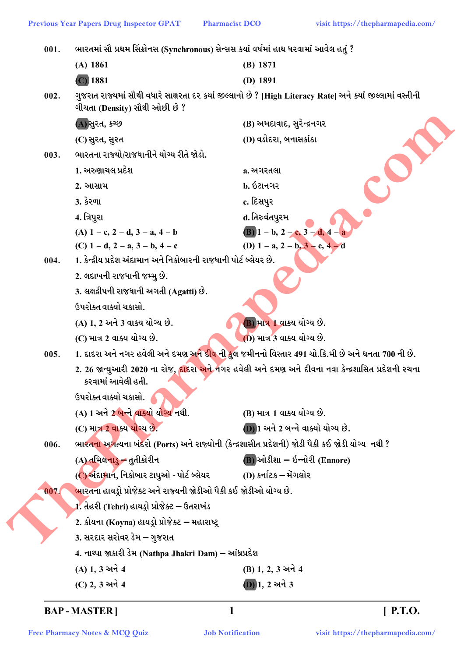**Pharmacist DCO** ભારતમાં સૌ પ્રથમ સિંક્રોનસ (Synchronous) સેન્સસ કયાં વર્ષમાં હાથ ધરવામાં આવેલ હતું ?  $001.$  $(A)$  1861  $(B)$  1871  $(C)$  1881  $(D)$  1891 ગુજરાત રાજ્યમાં સૌથી વધારે સાક્ષરતા દર કયાં જીલ્લાનો છે ? [High Literacy Rate] અને ક્યાં જીલ્લામાં વસ્તીની  $002.$ ગીચતા (Density) સૌથી ઓછી છે? (A) સુરત, કચ્છ (B) અમદાવાદ, સુરેન્દ્રનગર (D) વડોદરા, બનાસકાંઠા (C) સુરત, સુરત ભારતના રાજ્યો/રાજધાનીને યોગ્ય રીતે જોડો.  $003.$ 1. અરુણાચલ પ્રદેશ a. અગરતલા  $h.$   $\frac{5}{2}$  $2.$  આસામ $.$ **3. કેરળા** c. દિસપુર 4. ત્રિપુરા d. તિરુવંતપુરમ (A)  $1 - c$ ,  $2 - d$ ,  $3 - a$ ,  $4 - b$ (B)  $1 - b$ ,  $2 - c$ ,  $3 - d$ ,  $4 - a$ (D)  $1 - a$ ,  $2 - b$ ,  $3 - c$ ,  $4 - d$ (C)  $1 - d$ ,  $2 - a$ ,  $3 - b$ ,  $4 - c$ 

1. કેન્દ્રીય પ્રદેશ અંદામાન અને નિકોબારની રાજધાની પોર્ટ બ્લેયર છે.  $004.$ 

- 2. લદાખની રાજધાની જમ્મુ છે.
- 3. લક્ષદ્રીપની રાજધાની અગતી (Agatti) છે.
- ઉપરોક્ત વાક્યો ચકાસો.

(C) માત્ર 2 વાક્ય યોગ્ય છે.

- (A) 1. 2 અને 3 વાક્ય યોગ્ય છે.
- B) માત્ર 1 વાક્ય યોગ્ય છે.
- (D) માત્ર 3 વાક્ય યોગ્ય છે.
- 1. દાદરા અને નગર હવેલી અને દમણ અ<mark>ને દીવ</mark> ની કુલ જમીનનો વિસ્તાર 491 ચો.કિ.મી છે અને ઘનતા 700 ની છે. 005.

2. 26 જાન્યુઆરી 2020 ના રોજ, <mark>દાદરા અને</mark> નગર હવેલી અને દમણ અને દીવના નવા કેન્દ્રશાસિત પ્રદેશની રચના કરવામાં આવેલી હતી.

ઉપરોક્ત વાક્યો ચકાસો.

(C) માત્ર 2 વાક્ય યોગ્ય છે.

- (A) 1 અને 2 બન્ને વાક્યો યોગ્ય નથી. (B) માત્ર 1 વાક્ય યોગ્ય છે.
	- **D**) 1 અને 2 બન્ને વાક્યો યોગ્ય છે.
- ભારતના અગત્યના બંદરો (Ports) અને રાજ્યોની (કેન્દ્રશાસીત પ્રદેશની) જોડી પૈકી કઈ જોડી યોગ્ય નથી ? 006.
	- (A) તમિલનાડુ તૃતીકોરીન  $(B)$ ઓડીશા – ઇન્નોરી  $(Ennore)$
- (C) અંદામાન, નિકોબાર ટાપુઓ પોર્ટ બ્લેયર (D) કર્નાટક – મેંગલોર

ભારતના હાયડો પ્રોજેક્ટ અને રાજ્યની જોડીઓ પૈકી કઈ જોડીઓ યોગ્ય છે. 007.

1. તેહરી (Tehri) હાયડ્રો પ્રોજેક્ટ – ઉતરાખંડ

- 2. કોયના (Koyna) હાયડ્રો પ્રોજેક્ટ મહારાષ્ટ્ર
- 3. સરદાર સરોવર ડેમ ગુજરાત
- 4. નાથ્પા જાકારી ડેમ (Nathpa Jhakri Dam) આંધ્રપ્રદેશ
- (A) 1.3 અને 4 (B) 1, 2, 3 અને 4 (C) 2, 3 અને 4  $(D)$ 1, 2 અને 3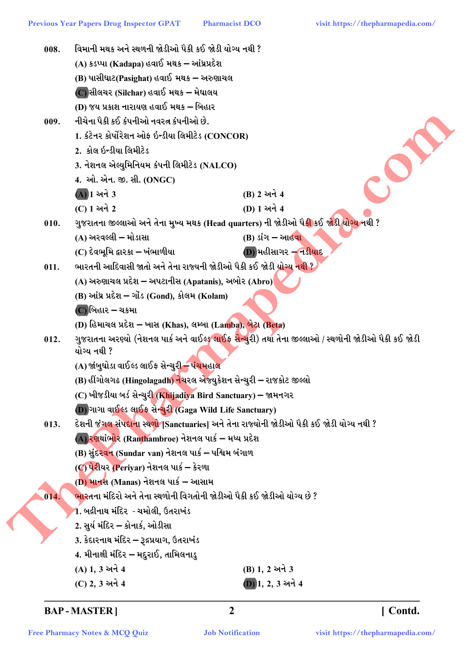| 008. | વિમાની મથક અને સ્થળની જોડીઓ પૈકી કઈ જોડી યોગ્ય નથી ?                                                             |                                                                                                                      |
|------|------------------------------------------------------------------------------------------------------------------|----------------------------------------------------------------------------------------------------------------------|
|      | (A) કડપ્પા (Kadapa) હવાઈ મથક – આંધ્રપ્રદેશ                                                                       |                                                                                                                      |
|      | (B) પાસીઘાટ(Pasighat) હવાઈ મથક – અરુણાચલ                                                                         |                                                                                                                      |
|      | (C)સીલચર (Silchar) હવાઈ મથક – મેઘાલય                                                                             |                                                                                                                      |
|      | (D) જય પ્રકાશ નારાયણ હવાઈ મથક – બિહાર                                                                            |                                                                                                                      |
| 009. | નીચેના પૈકી કઈ કંપનીઓ નવરત્ન કંપનીઓ છે.                                                                          |                                                                                                                      |
|      | 1. કંટેનર કોર્પોરેશન ઓફ ઇન્ડીયા લિમીટેડ (CONCOR)                                                                 |                                                                                                                      |
|      | 2. કોલ ઇન્ડીયા લિમીટેડ                                                                                           |                                                                                                                      |
|      | 3. નેશનલ એલ્યુમિનિયમ કંપની લિમીટેડ (NALCO)                                                                       |                                                                                                                      |
|      | 4. ઓ. એન. જી. સી. (ONGC)                                                                                         |                                                                                                                      |
|      | $(A)$ ી અને 3                                                                                                    | (B) 2 અને 4                                                                                                          |
|      | (C) 1 અને 2                                                                                                      | (D) 1 અને 4                                                                                                          |
| 010. | ગુજરાતના જીલ્લાઓ અને તેના મુખ્ય મથક (Head quarters) ની જોડીઓ પૈ <mark>કી</mark> કઈ જોડી <mark>યોગ્ય</mark> નથી ? |                                                                                                                      |
|      | (A) અરવલ્લી – મોડાસા                                                                                             | (B) ડાંગ – આહવા                                                                                                      |
|      | (C) દેવભૂમિ દ્વારકા – ખંભાળીયા                                                                                   | $(D)$ મહીસાગર – નડીયાદ                                                                                               |
| 011. | ભારતની આદિવાસી જાતો અને તેના રાજ્યની જોડીઓ પૈકી કઈ જોડી <mark>યોગ્ય નથી</mark> ?                                 |                                                                                                                      |
|      | (A) અરુણાચલ પ્રદેશ – અપટાનીસ (Apatanis), અબોર (Abro)                                                             |                                                                                                                      |
|      | (B) આંધ્ર પ્રદેશ – ગોંડ (Gond), કોલમ (Kolam)                                                                     |                                                                                                                      |
|      | $\left($ C) બિહાર – ચકમા                                                                                         |                                                                                                                      |
|      | (D) હિમાચલ પ્રદેશ – ખાસ (Khas), લમ્બા (Lamba), બેટા (Beta)                                                       |                                                                                                                      |
| 012. |                                                                                                                  | ગુજરાતના અરણ્યો (નેશનલ પાર્ક અને વાઈલ્ડ <mark>ુ લાઈફ સેન્ચુ</mark> રી) તથા તેના જીલ્લાઓ / સ્થળોની જોડીઓ પૈકી કઈ જોડી |
|      | યોગ્ય નથી ?                                                                                                      |                                                                                                                      |
|      | (A) જાંબુઘોડા વાઈલ્ડ લાઈફ સેન્ચુર <del>ી – પંચમ</del> હાલ                                                        |                                                                                                                      |
|      | (B) હીંગોલગઢ (Hingolagadh) નેચરલ એજ્યુકેશન સેન્ચુરી – રાજકોટ જીલ્લો                                              |                                                                                                                      |
|      | (C) ખીજડીયા બર્ડ સેન્ચુરી (Khijadiya Bird Sanctuary) – જામનગર                                                    |                                                                                                                      |
|      | (D) ગાગા વાઈલ્ડ લાઈફ સેન્ચુરી (Gaga Wild Life Sanctuary)                                                         |                                                                                                                      |
| 013. | દેશની જંગલ સંપદાના સ્થળો [Sanctuaries] અને તેના રાજ્યોની જોડીઓ પૈકી કઈ જોડી યોગ્ય નથી ?                          |                                                                                                                      |
|      | (A) ર <mark>ણ</mark> શાંભોર (Ranthambroe) નેશનલ પાર્ક – મધ્ય પ્રદેશ                                              |                                                                                                                      |
|      | (B) સુંદરવન (Sundar van) નેશનલ પાર્ક – પશ્ચિમ બંગાળ                                                              |                                                                                                                      |
|      | (C) પેરીયર (Periyar) નેશનલ પાર્ક – કેરળા                                                                         |                                                                                                                      |
|      | (D) માનસ (Manas) નેશનલ પાર્ક – આસામ                                                                              |                                                                                                                      |
| 014. | <mark>ભા</mark> રતના મંદિરો અને તેના સ્થળોની વિગતોની જોડીઓ પૈકી કઈ જોડીઓ યોગ્ય છે ?                              |                                                                                                                      |
|      | 1. બદ્રીનાથ મંદિર  - ચમોલી, ઉતરાખંડ                                                                              |                                                                                                                      |
|      | 2. સુર્ય મંદિર – કોનાર્ક, ઓડીસા                                                                                  |                                                                                                                      |
|      | 3. કેદારનાથ મંદિર – રૂદ્રપ્રયાગ, ઉતરાખંડ                                                                         |                                                                                                                      |
|      | 4. મીનાક્ષી મંદિર – મદુરાઈ, તામિલનાડુ                                                                            |                                                                                                                      |
|      | (A) 1, 3 અને 4                                                                                                   | (B) 1, 2 અને 3                                                                                                       |
|      | (C) 2, 3 અને 4                                                                                                   | $(D)$ 1, 2, 3 અને 4                                                                                                  |

[Contd.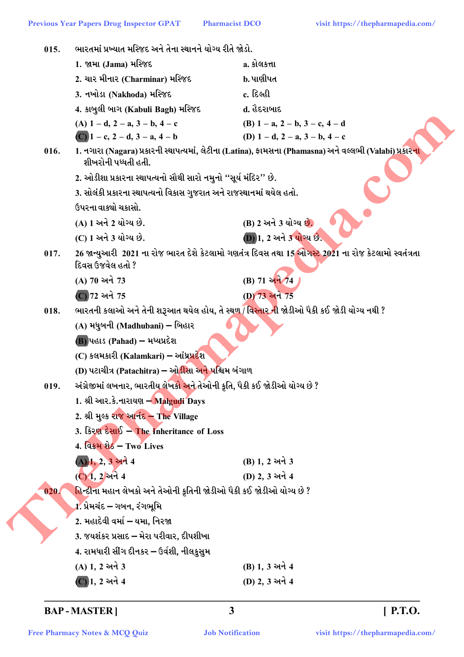| 015. | ભારતમાં પ્રખ્યાત મસ્જિદ અને તેના સ્થાનને યોગ્ય રીતે જોડો.                                        |                                                                                                         |
|------|--------------------------------------------------------------------------------------------------|---------------------------------------------------------------------------------------------------------|
|      | 1. જામા (Jama) મસ્જિદ                                                                            | a. કોલકત્તા                                                                                             |
|      | 2. ચાર મીનાર (Charminar) મસ્જિદ                                                                  | b. પાણીપત                                                                                               |
|      | 3. નખોડા (Nakhoda) મસ્જિદ                                                                        | c. દિલ્હી                                                                                               |
|      | 4. કાબુલી બાગ (Kabuli Bagh) મસ્જિદ                                                               | d. હૈદરાબાદ                                                                                             |
|      | (A) $1 - d$ , $2 - a$ , $3 - b$ , $4 - c$                                                        | (B) $1 - a$ , $2 - b$ , $3 - c$ , $4 - d$                                                               |
|      | (C) $1 - c$ , $2 - d$ , $3 - a$ , $4 - b$                                                        | (D) $1 - d$ , $2 - a$ , $3 - b$ , $4 - c$                                                               |
| 016. | શીખરોની પધ્ધતી હતી.                                                                              | 1. નગારા (Nagara) પ્રકારની સ્થાપત્યમાં, લેટીના (Latina), ફામસના (Phamasna) અને વલ્લભી (Valabi) પ્રકારના |
|      | 2. ઓડીશા પ્રકારના સ્થાપત્યનો સૌથી સારો નમુનો ''સૂર્ય મંદિર'' છે.                                 |                                                                                                         |
|      | 3. સોલંકી પ્રકારના સ્થાપત્યનો વિકાસ ગુજરાત અને રાજસ્થાનમાં થયેલ હતો.                             |                                                                                                         |
|      | ઉપરના વાક્યો ચકાસો.                                                                              |                                                                                                         |
|      | (A) 1 અને 2 યોગ્ય છે.                                                                            | (B) 2 અને 3 યોગ્ય છે.                                                                                   |
|      | (C) 1 અને 3 યોગ્ય છે.                                                                            | <b>D</b> 1, 2 અને 3 યોગ્ય છે.                                                                           |
| 017. | દિવસ ઉજવેલ હતો ?                                                                                 | 26 જાન્યુઆરી 2021 ના રોજ ભારત દેશે કેટલામો ગણતંત્ર દિવસ તથા 15 ઓગસ્ટ 2021 ના રોજ કેટલામો સ્વતંત્રતા     |
|      | (A) 70 અને 73                                                                                    | (B) 71 અને 74                                                                                           |
|      | (C) 72 અને 75                                                                                    | (D) 73 અને 75                                                                                           |
| 018. | ભારતની કલાઓ અને તેની શરૂઆત થયેલ હોય, તે સ્થ <u>ળ / વિસ્તાર ની</u> જોડીઓ પૈકી કઈ જોડી યોગ્ય નથી ? |                                                                                                         |
|      | (A) મધુબની (Madhubani) – બિહાર                                                                   |                                                                                                         |
|      | $(B)$ પહાડ (Pahad) – મધ્યપ્રદેશ                                                                  |                                                                                                         |
|      | (C) કલમકારી (Kalamkari) – આંધ્રપ્રદેશ                                                            |                                                                                                         |
|      | (D) પટાચીત્ર (Patachitra) – ઓ <mark>ડીસા અને પ</mark> શ્ચિમ બંગાળ                                |                                                                                                         |
| 019. | અંગ્રેજીમાં લખનાર, ભારતીય લેખકો અને તેઓની કૃતિ, પૈકી કઈ જોડીઓ યોગ્ય છે ?                         |                                                                                                         |
|      | 1. શ્રી આર.કે.નારાયણ – Malgudi Days                                                              |                                                                                                         |
|      | 2. શ્રી મુલ્ક રાજ આનંદ - The Village                                                             |                                                                                                         |
|      | 3. કિરણ દેસાઈ – The Inheritance of Loss                                                          |                                                                                                         |
|      | 4. विडम शेठ – Two Lives                                                                          |                                                                                                         |
|      | (A) 1, 2, 3 અને 4                                                                                | (B) 1, 2 અને 3                                                                                          |
|      | (C) 1, 2 अने 4                                                                                   | (D) 2, 3 અને 4                                                                                          |
| 020. | હિન્દીના મહાન લેખકો અને તેઓની કૃતિની જોડીઓ પૈકી કઈ જોડીઓ યોગ્ય છે ?                              |                                                                                                         |
|      | 1. પ્રેમચંદ – ગબન, રંગભૂમિ                                                                       |                                                                                                         |
|      | 2. મહાદેવી વર્મા – યમા, નિરજા                                                                    |                                                                                                         |
|      | 3. જયશંકર પ્રસાદ – મેરા પરીવાર, દીપશીખા                                                          |                                                                                                         |
|      | 4. રામધારી સીંગ દીનકર – ઉર્વશી, નીલકુસુમ                                                         |                                                                                                         |
|      | (A) 1, 2 અને 3                                                                                   | (B) 1, 3 અને 4                                                                                          |
|      | (C) 1, 2 અને 4                                                                                   | (D) 2, 3 અને 4                                                                                          |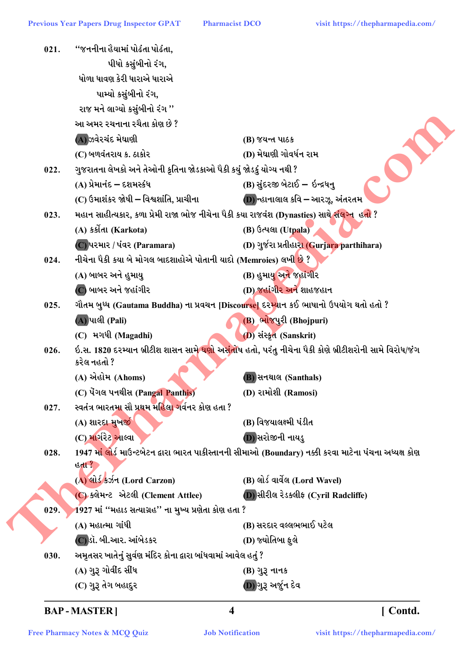**Pharmacist DCO** 

| 021. | ''જનનીના હૈયામાં પોઢંતા પોઢંતા,                                                                         |                                                                                                                       |
|------|---------------------------------------------------------------------------------------------------------|-----------------------------------------------------------------------------------------------------------------------|
|      | પીધો કસુંબીનો રંગ,                                                                                      |                                                                                                                       |
|      | ધોળા ધાવણ કેરી ધારાએ ધારાએ                                                                              |                                                                                                                       |
|      | પામ્યો કસુંબીનો રંગ,                                                                                    |                                                                                                                       |
|      | રાજ મને લાગ્યો કસુંબીનો રંગ ''                                                                          |                                                                                                                       |
|      | આ અમર રચનાના રચૈતા કોણ છે ?                                                                             |                                                                                                                       |
|      | (A)ઝવેરચંદ મેઘાણી                                                                                       | (B) જયન્ત પાઠક                                                                                                        |
|      | (C) બળવંતરાય ક. ઠાકોર                                                                                   | (D) મેઘાણી ગોવર્ધન રામ                                                                                                |
| 022. | ગુજરાતના લેખકો અને તેઓની કૃતિના જોડકાઓ પૈકી કયું જોડકું યોગ્ય નથી ?                                     |                                                                                                                       |
|      | (A) પ્રેમાનંદ – દશમસ્કંધ                                                                                | (B) સુંદરજી બેટાઈ – ઇન્દ્રધનુ                                                                                         |
|      | (C) ઉમાશંકર જોષી – વિશ્વશાંતિ, પ્રાચીના                                                                 | (D) ન્હાનાલાલ કવિ – આરઝૂ, અંતરતમ                                                                                      |
| 023. | મહાન સાહીત્યકાર, કળા પ્રેમી રાજા ભોજ નીચેના પૈકી કયા રાજવંશ (Dynasties) સાથ <mark>ે સંલગ્ન</mark> હતો ? |                                                                                                                       |
|      | (A) કર્કોતા (Karkota)                                                                                   | (B) ઉત્પલા (Utpala)                                                                                                   |
|      | (C) પરમાર / પંવર (Paramara)                                                                             | (D) ગુર્જરા પ્રતીહારા (Gurjara parthihara)                                                                            |
| 024. | નીચેના પૈકી કયા બે મોગલ બાદશાહોએ પોતાની યાદો (Memroies) લખી <mark>છે</mark> ?                           |                                                                                                                       |
|      | (A) બાબર અને હુમાયુ                                                                                     | (B) હુમાયુ અને જહાંગીર                                                                                                |
|      | (C) બાબર અને જહાંગીર                                                                                    | (D) જહાંગીર અને શાહજહાન                                                                                               |
| 025. | ગૌતમ બુધ્ધ (Gautama Buddha) ના પ્રવચન [Discourse] દરમ્યાન કઈ ભાષાનો ઉપયોગ થતો હતો ?                     |                                                                                                                       |
|      | (A) પાલી (Pali)                                                                                         | (B) ભોજપુરી (Bhojpuri)                                                                                                |
|      | (C) મગધી (Magadhi)                                                                                      | (D) સંસ્કૃત (Sanskrit)                                                                                                |
| 026. |                                                                                                         | ઇ.સ. 1820 દરમ્યાન બ્રીટીશ શાસન સામ <mark>ે ઘણો અસંતો</mark> ષ હતો, પરંતુ નીચેના પૈકી કોણે બ્રીટીશરોની સામે વિરોધ/જંગ  |
|      | કરેલ નહતો ?                                                                                             |                                                                                                                       |
|      | (A) એહોમ (Ahoms)                                                                                        | <b>B</b> ) સનથાલ (Santhals)                                                                                           |
|      | (C) पेंगલ पनथीस (Pangal Panthis)                                                                        | (D) રામોશી (Ramosi)                                                                                                   |
| 027. | સ્વતંત્ર ભારતમા સૌ પ્રથમ મહિલ <mark>ા ગ</mark> ર્વનર કોણ હતા ?                                          |                                                                                                                       |
|      | (A) શારદા મુખર્જી                                                                                       | (B) વિજયાલક્ષ્મી પંડીત                                                                                                |
|      | (C) માર્ગરેટ આલ્વા                                                                                      | (D) સરોજીની નાયડુ                                                                                                     |
| 028. |                                                                                                         | 1947 મા <mark>ં લો</mark> ર્ડ માઉન્ટબેટન દ્વારા ભારત પાકીસ્તાનની સીમાઓ (Boundary) નક્કી કરવા માટેના પંચના અધ્યક્ષ કોણ |
|      | હતા $?$                                                                                                 |                                                                                                                       |
|      | (A) લોર્ડ કર્ઝન (Lord Carzon)                                                                           | <b>(B)</b> લોર્ડ વાર્વેલ (Lord Wavel)                                                                                 |
|      | (C) ક્લેમન્ટ એટલી (Clement Attlee)                                                                      | (D) સીરીલ રેડક્લીફ (Cyril Radcliffe)                                                                                  |
| 029. | 1927 માં ''મહાડ સત્યાગ્રહ'' ના મુખ્ય પ્રણેતા કોણ હતા ?                                                  |                                                                                                                       |
|      | (A) મહાત્મા ગાંધી                                                                                       | (B) સરદાર વલ્લભભાઈ પટેલ                                                                                               |
|      | (C)ડૉ. બી.આર. આંબેડકર                                                                                   | (D) જ્યોતિબા ફુલે                                                                                                     |
| 030. | અમૃતસર ખાતેનું સુર્વણ મંદિર કોના દ્વારા બાંધવામાં આવેલ હતું ?                                           |                                                                                                                       |
|      | (A) ગુરૂ ગોવીંદ સીંધ                                                                                    | (B) ગુરૂ નાનક                                                                                                         |
|      | (C) ગુરૂ તેગ બહાદુર                                                                                     | (D)ગુરૂ અર્જુન દેવ                                                                                                    |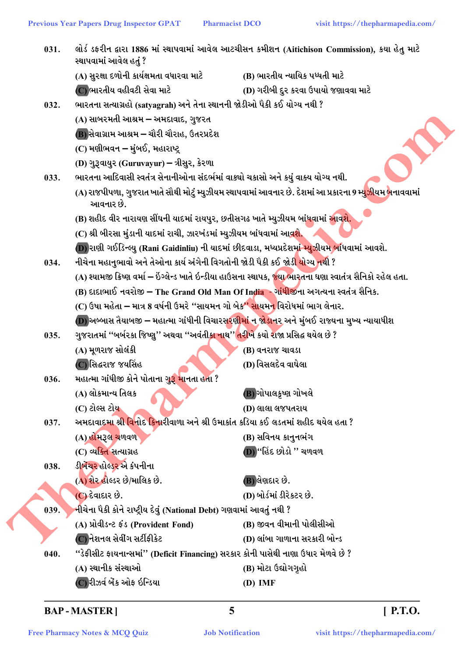| 031. | સ્થાપવામાં આવેલ હતું ?                                                                                    | લોર્ડ ડફરીન દ્વારા 1886 માં સ્થાપવામાં આવેલ આટચીસન કમીશન (Aitichison Commission), કયા હેતુ માટે                          |  |
|------|-----------------------------------------------------------------------------------------------------------|--------------------------------------------------------------------------------------------------------------------------|--|
|      | (A) સુરક્ષા દળોની કાર્યક્ષમતા વધારવા માટે                                                                 | (B) ભારતીય ન્યાયિક પધ્ધતી માટે                                                                                           |  |
|      | (C) ભારતીય વહીવટી સેવા માટે                                                                               | (D) ગરીબી દુર કરવા ઉપાયો જણાવવા માટે                                                                                     |  |
| 032. | ભારતના સત્યાગ્રહો (satyagrah) અને તેના સ્થાનની જોડીઓ પૈકી કઈ યોગ્ય નથી ?                                  |                                                                                                                          |  |
|      | (A) સાબરમતી આશ્રમ <del>–</del> અમદાવાદ, ગુજરત                                                             |                                                                                                                          |  |
|      | (B) સેવાગ્રામ આશ્રમ – ચૌરી ચૌરાહ, ઉતરપ્રદેશ                                                               |                                                                                                                          |  |
|      | (C) મણીભવન – મુંબઈ,  મહારાષ્ટ્ર                                                                           |                                                                                                                          |  |
|      | (D) ગુરૂવાયુર (Guruvayur) – ત્રીસુર, કેરળા                                                                |                                                                                                                          |  |
| 033. | ભારતના આદિવાસી સ્વતંત્ર સેનાનીઓના સંદર્ભમાં વાક્યો ચકાસો અને કયું વાક્ય યોગ્ય નથી.                        |                                                                                                                          |  |
|      | આવનાર છે.                                                                                                 | (A) રાજપીપળા, ગુજરાત ખાતે સૌથી મોટું મ્યુઝીયમ સ્થાપવામાં આવનાર છે. દેશમાં આ પ્રકારના 9 મ્યુ <mark>ઝીયમ બ</mark> નાવવામાં |  |
|      | (B) શહીદ વીર નારાયણ સીંઘની યાદમાં રાયપુર, છતીસગઢ ખાતે મ્યુઝીયમ બાંધવામાં <mark>આવશે.</mark>               |                                                                                                                          |  |
|      | (C) શ્રી બીરસા મુંડાની યાદમાં રાચી, ઝારખંડમાં મ્યુઝીયમ બાંધવામાં આવશે.                                    |                                                                                                                          |  |
|      |                                                                                                           | (D) રાણી ગઈડિન્લ્યુ (Rani Gaidinliu) ની યાદમાં છીદવાડા, મધ્યપ્રદેશમ <mark>ાં મ્યુ</mark> ઝીયમ બાંધવામાં આવશે.            |  |
| 034. | નીચેના મહાનુભાવો અને તેઓના કાર્ય અંગેની વિગતોની જોડી પૈકી કઈ જોડ <mark>ી યોગ્ય ન</mark> થી ?              |                                                                                                                          |  |
|      |                                                                                                           | (A) શ્યામજી ક્રિષ્ણ વર્મા – ઇંગ્લેન્ડ ખાતે ઇન્ડીયા હાઉસના સ્થાપક, જ્યા ભારતના ઘણા સ્વાતંત્ર સૈનિકો રહેલ હતા.             |  |
|      | (B) દાદાભાઈ નવરોજી – The Grand Old Man Of India - ગાંધીજીના અગત્યના સ્વતંત્ર સૈનિક.                       |                                                                                                                          |  |
|      | (C) ઉષા મહેતા – માત્ર 8 વર્ષની ઉમરે "સાયમન ગો બેક" સાયમન વિરોધમાં ભાગ લેનાર.                              |                                                                                                                          |  |
|      |                                                                                                           | (D) અબ્બાસ તૈયાબજી – મહાત્મા ગાંધીની વિચારસ <mark>રણીમાં ન જોડા</mark> નર અને મુંબઈ રાજ્યના મુખ્ય ન્યાયાધીશ              |  |
| 035. | ગુજરાતમાં ''બર્બરકા જિષ્ણુ'' અથવા ''અવંતી <u>કા ના</u> થ'' <mark>તરીખે</mark> કયો રાજા પ્રસિદ્ધ થયેલ છે ? |                                                                                                                          |  |
|      | (A) મૂળરાજ સોલંકી                                                                                         | (B) વનરાજ ચાવડા                                                                                                          |  |
|      | (C)સિદ્ધરાજ જયસિંહ                                                                                        | (D) વિસલદેવ વાઘેલા                                                                                                       |  |
| 036. | મહાત્મા ગાંધીજી કોને પોતાના ગુરૂ <mark>મા</mark> નતા હતા ?                                                |                                                                                                                          |  |
|      | (A) લોકમાન્ય તિલક                                                                                         | (B) ગોપાલકૃષ્ણ ગોખલે                                                                                                     |  |
|      | (C) ટોલ્સ ટોય <b>ુ</b>                                                                                    | (D) લાલા લજપતરાય                                                                                                         |  |
| 037. | અમદાવાદમા શ્ર <mark>ી વ</mark> િનોદ કિનારીવાળા અને શ્રી ઉમાકાંત કડિયા કઈ લડતમાં શહીદ થયેલ હતા ?           |                                                                                                                          |  |
|      | (A) હોમરૂલ ચળવળ                                                                                           | (B) સવિનય કાનુનભંગ                                                                                                       |  |
|      | (C) વ્યક્તિ સત્યાગ્રહ                                                                                     | (D) "હિંદ છોડો " ચળવળ                                                                                                    |  |
| 038. | ડીબેંચર હોલ્ડર એ કંપનીના                                                                                  |                                                                                                                          |  |
|      | (A) શેર હોલ્ડર છે/માલિક છે.                                                                               | (B) લેણદાર છે.                                                                                                           |  |
|      | (C) દેવાદાર છે.                                                                                           | (D) બોર્ડમાં ડીરેકટર છે.                                                                                                 |  |
| 039. | નીચેના પૈકી કોને રાષ્ટ્રીય દેવું (National Debt) ગણવામાં આવતું નથી ?                                      |                                                                                                                          |  |
|      | (A) પ્રોવીડન્ટ ફંડ (Provident Fond)                                                                       | (B) જીવન વીમાની પોલીસીઓ                                                                                                  |  |
|      | (C) નેશનલ સેવીંગ સર્ટીફીકેટ                                                                               | (D) લાંબા ગાળાના સરકારી બોન્ડ                                                                                            |  |
| 040. | "ડેફીસીટ ફાયનાન્સમાં" (Deficit Financing) સરકાર કોની પાસેથી નાણા ઉધાર મેળવે છે ?                          |                                                                                                                          |  |
|      | (A) સ્થાનીક સંસ્થાઓ                                                                                       | (B) મોટા ઉદ્યોગગૃહો                                                                                                      |  |
|      | (C) રીઝર્વ બેંક ઓફ ઇન્ડિયા                                                                                | $(D)$ IMF                                                                                                                |  |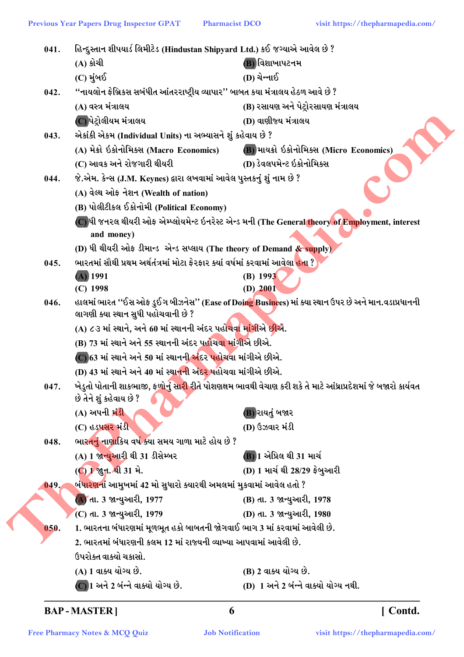હિન્દુસ્તાન શીપયાર્ડ લિમીટેડ (Hindustan Shipyard Ltd.) કઈ જગ્યાએ આવેલ છે ?  $041.$ (A) કોચી (B) વિશાખાપટનમ (D) ચેન્નાઈ  $(C)$  મુંબઈ ''નાયલોન ફેબ્રિકસ સબંધીત આંતરરાષ્ટ્રીય વ્યાપાર'' બાબત કયા મંત્રાલય હેઠળ આવે છે ?  $042.$ (B) રસાયણ અને પેટ્રોરસાયણ મંત્રાલય (A) વસ્ત્ર મંત્રાલય (C)પેટ્રોલીયમ મંત્રાલય (D) વાણીજ્ય મંત્રાલય એકાંકી એકમ (Individual Units) ના અભ્યાસને શું કહેવાય છે ?  $043.$ (A) મેક્રો ઇકોનોમિક્સ (Macro Economics) (B) માયક્રો ઇકોનોમિક્સ (Micro Economics) (D) ડેવલપમેન્ટ ઇકોનોમિક્સ (C) આવક અને રોજગારી થીયરી જે.એમ. કેન્સ (J.M. Keynes) દ્વારા લખવામાં આવેલ પુસ્તકનું શું નામ છે ? 044. (A) વેલ્થ ઓફ નેશન (Wealth of nation) (B) પોલીટીકલ ઈકોનોમી (Political Economy) (C) ધી જનરલ થીયરી ઓફ એમ્પ્લોયમેન્ટ ઇનરેસ્ટ એન્ડ મની (The General theory of Employment, interest and money) (D) ધી થીયરી ઓફ ડીમાન્ડ એન્ડ સપ્લાય (The theory of Demand & supply) ભારતમાં સૌથી પ્રથમ અર્થતંત્રમાં મોટા ફેરફાર ક્યાં વર્ષમાં કરવામાં આવેલા <mark>હતા</mark> ?  $045.$  $(A)$  1991  $(B)$  1993  $(C)$  1998  $(D)$  2001 046. હાલમાં ભારત ''ઈસ ઓફ ડુઈગ બીઝનેસ'' (Ease of Doing Businees) માં ક્યા સ્થાન ઉપર છે અને માન.વડાપ્રધાનની લાગણી ક્યા સ્થાન સુધી પહોચવાની છે ? (A) ૮૩ માં સ્થાને, અને 60 માં સ્થાનની અંદર પહોં<mark>ચવા માંગીએ છીએ</mark>. (B) 73 માં સ્થાને અને 55 સ્થાનની અંદર પહોંચવ<mark>ા માંગીએ</mark> છીએ. (C) 63 માં સ્થાને અને 50 માં સ્થાનની અંદર પહોચવા માંગીએ છીએ. (D) 43 માં સ્થાને અને 40 માં સ્થ<del>ાનની</del> અંદર પહોચવા માંગીએ છીએ. ખેડુતો પોતાની શાકભાજી, ફળોનું સા<mark>રી રી</mark>તે પોશણક્ષમ ભાવથી વેચાણ કરી શકે તે માટે આંધ્રાપ્રદેશમાં જે બજારો કાર્યવત  $047.$ છે તેને શું કહેવાય છે ? (A) અપની **મં**ડી (B) રાયતું બજાર (C) હડપસર મંડી (D) ઉઝવાર મંડી ભારતનું નાણાકિય વર્ષ ક્યા સમય ગાળા માટે હોય છે ?  $048.$ (A) 1 જાન્યુઆરી થી 31 ડીસેમ્બર (B) 1 એપ્રિલ થી 31 માર્ચ (C) 1 જી.ન. થી 31 મે. (D) 1 માર્ચ થી 28/29 ફેબુઆરી .બં<mark>ધારણનાં</mark> આમુખમાં 42 મો સુધારો ક્યારથી અમલમાં મુકવામાં આવેલ હતો ?  $049.$ (A) તા. 3 જાન્યુઆરી, 1977 (B) તા. 3 જાન્યુઆરી, 1978 (C) તા. 3 જાન્યુઆરી, 1979 (D) તા. 3 જાન્યુઆરી, 1980 1. ભારતના બંધારણમાં મુળભુત હકો બાબતની જોગવાઈ ભાગ 3 માં કરવામાં આવેલી છે. 050. 2. ભારતમાં બંધારણની કલમ 12 માં રાજ્યની વ્યાખ્યા આપવામાં આવેલી છે. ઉપરોક્ત વાક્યો ચકાસો. (A) 1 વાક્ય યોગ્ય છે. (B) 2 વાક્ય યોગ્ય છે. (D) 1 અને 2 બંન્ને વાક્યો યોગ્ય નથી.  $\overline{\text{C}}$ ી અને 2 બંન્ને વાક્યો યોગ્ય છે.

```
BAP-MASTER]
```
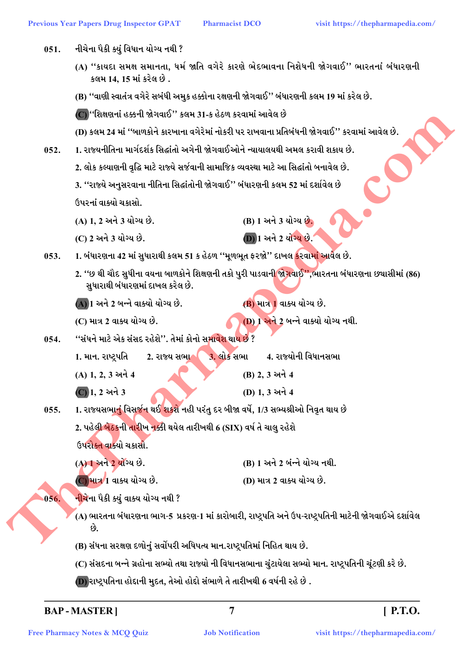- નીચેના પૈકી ક્યું વિધાન યોગ્ય નથી ?  $051.$ 
	- (A) "કાયદા સમક્ષ સમાનતા, ધર્મ જાતિ વગેરે કારણે ભેદભાવના નિશેધની જોગવાઈ" ભારતનાં બંધારણની કલમ 14, 15 માં કરેલ છે.
	- (B) ''વાણી સ્વાતંત્ર વગેરે સબંધી અમુક હક્કોના રક્ષણની જોગવાઈ'' બંધારણની કલમ 19 માં કરેલ છે.

(C) ''શિક્ષણનાં હક્કની જોગવાઈ'' કલમ 31-ક હેઠળ કરવામાં આવેલ છે

(D) કલમ 24 માં ''બાળકોને કારખાના વગેરેમાં નોકરી પર રાખવાના પ્રતિબંધની જોગવાઈ'' કરવામાં આવેલ છે.

- 1. રાજ્યનીતિના માર્ગદર્શક સિદ્ધાંતો અગેની જોગવાઈઓને ન્યાયાલયથી અમલ કરાવી શકાય છે.  $052.$ 
	- 2. લોક કલ્યાણની વૃદ્ધિ માટે રાજ્યે સર્જવાની સામાજિક વ્યવસ્થા માટે આ સિદ્ધાંતો બનાવેલ છે.

3. ''રાજ્યે અનુસરવાના નીતિના સિદ્ધાંતોની જોગવાઈ'' બંધારણની કલમ 52 માં દર્શાવેલ છે ઉપરનાં વાક્યો ચકાસો.

- (A) 1, 2 અને 3 યોગ્ય છે.
- (C) 2 અને 3 યોગ્ય છે.

(D) 1 અને 2 યોગ્ય છે.

(B) 1 અને 3 યોગ્ય છે.

1. બંધારણના 42 માં સુધારાથી કલમ 51 ક હેઠળ ''મૂળભૂત ફરજો'' દાખલ <mark>કરવામાં આવ</mark>ેલ છે.  $053.$ 

2. ''છ થી ચૌદ સુધીના વયના બાળકોને શિક્ષણની તકો પુરી પાડવાન<mark>ી જોગવાઈ'',ભારતના બંધારણના છચાસીમાં (86)</mark> સુધારાથી બંધારણમાં દાખલ કરેલ છે.

(A) 1 અને 2 બન્ને વાક્યો યોગ્ય છે.

(B) માત્ર 1 વાક્ય યોગ્ય છે.

(B) 2.3 અને 4

(D) 1.3 અને 4

(D) 1 અને 2 બન્ને વાક્યો યોગ્ય નથી. (C) માત્ર 2 વાક્ય યોગ્ય છે.

"સંધને માટે એક સંસદ રહેશે". તેમાં કોનો સમાવેશ થાય છે ?  $054.$ 

> <u>3. લોક સભા</u> 4. રાજ્યોની વિધાનસભા 1. માન. રાષ્ટપતિ 2. રાજ્ય સભા

(A) 1, 2, 3 અને 4

 $\overline{C}$ ) 1, 2 અને 3

1. રાજ્યસભા<u>નું</u> વિસર્જન થઈ શકશે નહી પરંતુ દર બીજા વર્ષે, 1/3 સભ્યશ્રીઓ નિવૃત થાય છે  $0.55.$ 

2. પહેલ<mark>ી બેઠકની તારીખ નક્કી</mark> થયેલ તારીખથી 6 (SIX) વર્ષ તે ચાલુ રહેશે

ઉપરોક્ત વાક્યો ચકાસો.

(B) 1 અને 2 બંન્ને યોગ્ય નથી. (A) 1 અને 2 યોગ્ય છે. (C) માત્ર 1 વાક્ય યોગ્ય છે. (D) માત્ર 2 વાક્ય યોગ્ય છે.

<mark>નીચે</mark>ના પૈકી ક્યું વાક્ય યોગ્ય નથી ? 056.

> (A) ભારતના બંધારણના ભાગ-5 પ્રકરણ-1 માં કારોબારી, રાષ્ટ્રપતિ અને ઉપ-રાષ્ટ્રપતિની માટેની જોગવાઈએ દર્શાવેલ  $\mathfrak{G}$

- (B) સંધના સરક્ષણ દળોનું સર્વોપરી અધિપત્ય માન.રાષ્ટ્રપતિમાં નિહિત થાય છે.
- (C) સંસદના બન્ને ગ્રહોના સભ્યો તથા રાજ્યો ની વિધાનસભાના ચુંટાયેલા સભ્યો માન. રાષ્ટ્રપતિની ચૂંટણી કરે છે.
- (D) રાષ્ટ્રપતિના હોદ્દાની મુદત, તેઓ હોદ્દો સંભાળે તે તારીખથી 6 વર્ષની રહે છે .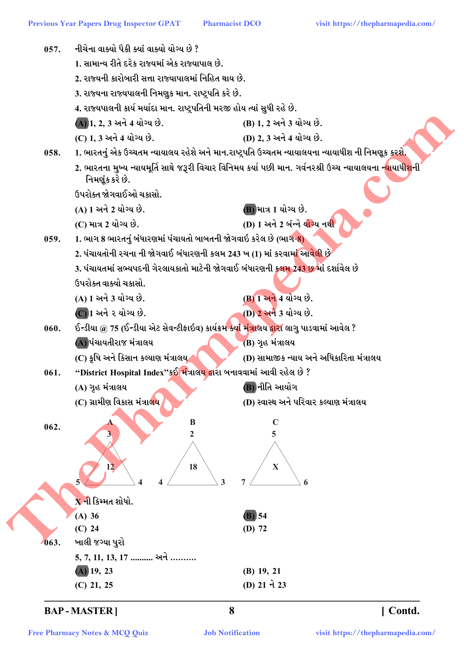

[ Contd.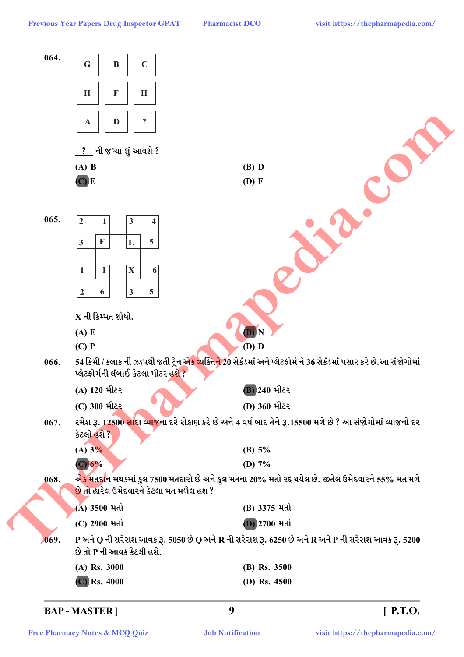**Pharmacist DCO** 

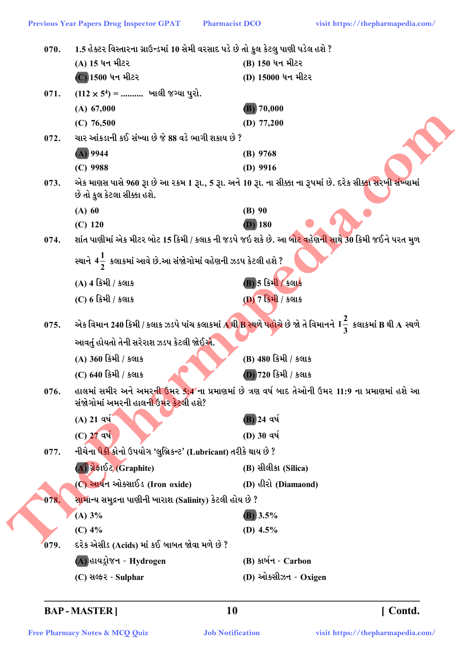| 070. | 1.5 હેક્ટર વિસ્તારના ગ્રાઉન્ડમાં 10 સેમી વરસાદ પડે છે તો કુલ કેટલુ પાણી પડેલ હશે ? |                                                                                                                     |  |
|------|------------------------------------------------------------------------------------|---------------------------------------------------------------------------------------------------------------------|--|
|      | (A) 15 ધન મીટર                                                                     | (B) 150 ધન મીટર                                                                                                     |  |
|      | (C) 1500 ધન મીટર                                                                   | (D) 15000 ધન મીટર                                                                                                   |  |
| 071. | $(112 \times 5^4)$ =  ખાલી જગ્યા પુરો.                                             |                                                                                                                     |  |
|      | (A) 67,000                                                                         | (B) 70,000                                                                                                          |  |
|      | $(C)$ 76,500                                                                       | (D) $77,200$                                                                                                        |  |
| 072. | ચાર આંકડાની કઈ સંખ્યા છે જે 88 વડે ભાગી શકાય છે ?                                  |                                                                                                                     |  |
|      | $(A)$ 9944                                                                         | $(B)$ 9768                                                                                                          |  |
|      | $(C)$ 9988                                                                         | $(D)$ 9916                                                                                                          |  |
| 073. | છે તો કુલ કેટલા સીક્કા હશે.                                                        | એક માણસ પાસે 960 રૂા છે આ ૨કમ 1 રૂા., 5 રૂા. અને 10 રૂા. ના સીક્કા ના રૂપમાં છે. દરેક સીક્કા સરખી સંખ્યામાં         |  |
|      | $(A)$ 60                                                                           | $(B)$ 90                                                                                                            |  |
|      | $(C)$ 120                                                                          | $(D)$ 180                                                                                                           |  |
| 074. |                                                                                    | શાંત પાણીમાં એક મીટર બોટ 15 કિમી / કલાક ની જડપે જઇ શકે છે. આ બોટ વહેણન <mark>ી સાથે 30</mark> કિમી જઈને પરત મુળ     |  |
|      | સ્થાને 4 $\frac{1}{2}$ કલાકમાં આવે છે.આ સંજોગોમાં વહેણની ઝડપ કેટલી હશે ?           |                                                                                                                     |  |
|      | (A) 4 કિમી / કલાક                                                                  | <b>B)5 કિમી / કલાક</b>                                                                                              |  |
|      | (C) 6 કિમી / કલાક                                                                  | (D) 7 કિમી / કલાક                                                                                                   |  |
|      |                                                                                    |                                                                                                                     |  |
| 075. |                                                                                    | એક વિમાન 240 કિમી / કલાક ઝડપે પાંચ કલાકમાં A થી B સ્થળે પહોચે છે જો તે વિમાનને 1 $\frac{2}{3}$ કલાકમાં B થી A સ્થળે |  |
|      | આવતું હોયતો તેની સરેરાશ ઝડપ કેટલી જોઈએ.                                            |                                                                                                                     |  |
|      | (A) 360 કિમી / કલાક                                                                | (B) 480 કિમી / કલાક                                                                                                 |  |
|      | (C) 640 કિમી / કલાક                                                                | (D) 720 કિમી / કલાક                                                                                                 |  |
| 076. | સંજોગોમાં અમરની હાલની ઉ <mark>મર કેટ</mark> લી હશે?                                | હાલમાં સમીર અને અમર <mark>ની ઉ</mark> મર 5:4 ના પ્રમાણમાં છે ત્રણ વર્ષ બાદ તેઓની ઉમર 11:9 ના પ્રમાણમાં હશે આ        |  |
|      | $(A)$ 21 વર્ષ                                                                      | (B) 24 વર્ષ                                                                                                         |  |
|      | (C) 27 वर्ष                                                                        | (D) 30 વર્ષ                                                                                                         |  |
| 077. | નીચેના પૈ <mark>કી</mark> કોનો ઉપયોગ 'લુબ્રિકન્ટ' (Lubricant) તરીકે થાય છે ?       |                                                                                                                     |  |
|      | (A) ચેફાઈટ (Graphite)                                                              | (B) સીલીકા (Silica)                                                                                                 |  |
|      | (C) આર્યન ઓક્સાઈડ (Iron oxide)                                                     | (D) હીરો (Diamaond)                                                                                                 |  |
| 078. | <mark>સામા</mark> ન્ય સમુદ્રના પાણીની ખારાશ (Salinity) કેટલી હોય છે ?              |                                                                                                                     |  |
|      | (A) 3%                                                                             | $(B)$ 3.5%                                                                                                          |  |
|      | $(C)$ 4%                                                                           | (D) $4.5\%$                                                                                                         |  |
| 079. | દરેક એસીડ (Acids) માં કઈ બાબત જોવા મળે છે ?                                        |                                                                                                                     |  |
|      | (A) હાયડ્રોજન - Hydrogen                                                           | (B) કાર્બન - Carbon                                                                                                 |  |
|      | (C) सक्ष्दर - Sulphar                                                              | (D) ઓક્સીઝન - Oxigen                                                                                                |  |

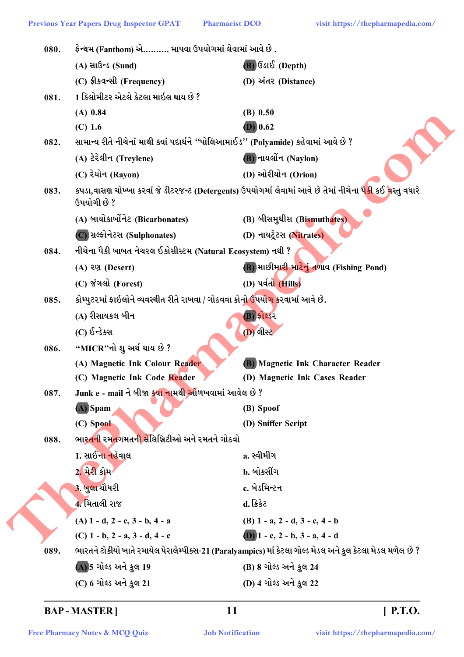| 080. | ફેન્થમ (Fanthom) એ………. માપવા ઉપયોગમાં લેવામાં આવે છે .                                      |                                                                                                                        |
|------|---------------------------------------------------------------------------------------------|------------------------------------------------------------------------------------------------------------------------|
|      | $(A)$ સાઉન્ડ (Sund)                                                                         | $(B)$ ઉડાઈ (Depth)                                                                                                     |
|      | (C) ईी उपन्सी (Frequency)                                                                   | (D) અંતર (Distance)                                                                                                    |
| 081. | 1 કિલોમીટર એટલે કેટલા માઇલ થાય છે ?                                                         |                                                                                                                        |
|      | $(A)$ 0.84                                                                                  | $(B)$ 0.50                                                                                                             |
|      | $(C)$ 1.6                                                                                   | $(D)$ 0.62                                                                                                             |
| 082. | સામાન્ય રીતે નીચેનાં માથી ક્યાં પદાર્થને ''પોલિઆમાઈડ'' (Polyamide) કહેવામાં આવે છે ?        |                                                                                                                        |
|      | (A) ટેરેલીન (Treylene)                                                                      | <b>B</b> ) નાયર્લોન (Naylon)                                                                                           |
|      | (C) રેયોન (Rayon)                                                                           | (D) ઓરીયોન (Orion)                                                                                                     |
| 083. | ઉપયોગી છે ?                                                                                 | કપડા,વાસણ ચોખ્ખા કરવાં જે ડીટરજન્ટ (Detergents) ઉપયોગમાં લેવામાં આવે છે તેમાં નીચેના પૈ <mark>કી</mark> કઈ વસ્તુ વધારે |
|      | (A) બાયોકાર્બોનેટ (Bicarbonates)                                                            | <b>(B) બીસમુ</b> થીસ (Bismuthates)                                                                                     |
|      | (C) સલ્ફોનેટસ (Sulphonates)                                                                 | (D) નાયટ્રેટસ (Nitrates)                                                                                               |
| 084. | નીચેના પૈકી બાબત નેચરલ ઈકોસીસ્ટમ (Natural Ecosystem) નથી ?                                  |                                                                                                                        |
|      | (A) २९१ (Desert)                                                                            | (B) માછીમારી માટેનું તળાવ (Fishing Pond)                                                                               |
|      | (C) જંગલો (Forest)                                                                          | (D) પર્વતો (Hills)                                                                                                     |
| 085. | કોમ્પુટરમાં ફાઇલોને વ્યવસ્થીત રીતે રાખવા / ગોઠવવા કોન <mark>ો ઉપયોગ ક</mark> રવામાં આવે છે. |                                                                                                                        |
|      | (A) રીસાયકલ બીન                                                                             | (B) ફોલ્ડર                                                                                                             |
|      | (C) ઈન્ડેક્સ                                                                                | <b>(D)</b> લીસ્ટ                                                                                                       |
| 086. | "MICR"નો શુ અર્થ થાય છે ?                                                                   |                                                                                                                        |
|      | (A) Magnetic Ink Colour Reader                                                              | (B) Magnetic Ink Character Reader                                                                                      |
|      | (C) Magnetic Ink Code Reader                                                                | (D) Magnetic Ink Cases Reader                                                                                          |
| 087. | Junk e - mail ને બીજા ક્ <mark>યા નામથી ઓ</mark> ળખવામાં આવેલ છે ?                          |                                                                                                                        |
|      | $(A)$ Spam                                                                                  | (B) Spoof                                                                                                              |
|      | (C) Spool                                                                                   | (D) Sniffer Script                                                                                                     |
| 088. | ભાર <mark>તની</mark> રમ <mark>તગમતની સે</mark> લિબ્રિટીઓ અને રમતને ગોઠવો                    |                                                                                                                        |
|      | 1. સાઈના નહેવાલ                                                                             | a. સ્વીમીંગ                                                                                                            |
|      | 2. મેરી કોમ <sup>1</sup>                                                                    | b. બોક્સીંગ                                                                                                            |
|      | <u>3. બુલા ચૌધરી</u>                                                                        | c. બેડમિન્ટન                                                                                                           |
|      | 4. મિતાલી રાજ                                                                               | d. ક્રિકેટ                                                                                                             |
|      | $(A)$ 1 - d, 2 - c, 3 - b, 4 - a                                                            | (B) $1 - a$ , $2 - d$ , $3 - c$ , $4 - b$                                                                              |
|      | (C) $1 - b$ , $2 - a$ , $3 - d$ , $4 - c$                                                   | (D) $1 - c$ , $2 - b$ , $3 - a$ , $4 - d$                                                                              |
| 089. |                                                                                             | ભારતને ટોકીયો ખાતે રમાયેલ પેરાલેમ્પીક્સ-21 (Paralyampics) માં કેટલા ગોલ્ડ મેડલ અને કુલ કેટલા મેડલ મળેલ છે ?            |
|      | (A) 5 ગોલ્ડ અને કુલ 19                                                                      | (B) 8 ગોલ્ડ અને કુલ 24                                                                                                 |
|      | (C) 6 ગોલ્ડ અને કુલ 21                                                                      | (D) 4 ગોલ્ડ અને કુલ 22                                                                                                 |
|      |                                                                                             |                                                                                                                        |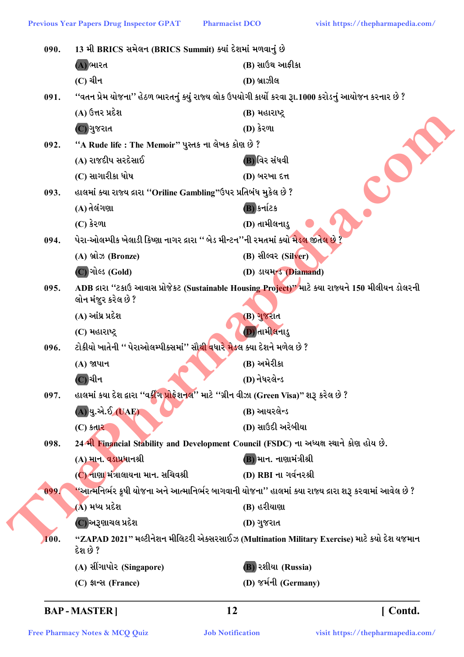| 090. | 13 મી BRICS સમેલન (BRICS Summit) ક્યાં દેશમાં મળવાનું છે                                   |                                                                                                        |
|------|--------------------------------------------------------------------------------------------|--------------------------------------------------------------------------------------------------------|
|      | (A) ભારત                                                                                   | (B) સાઉથ આફીકા                                                                                         |
|      | (C) ચીન                                                                                    | (D) બ્રાઝીલ                                                                                            |
| 091. |                                                                                            | ''વતન પ્રેમ યોજના'' હેઠળ ભારતનું ક્યું રાજ્ય લોક ઉપયોગી કાર્યો કરવા રૂા.1000 કરોડનું આયોજન કરનાર છે ?  |
|      | (A) ઉત્તર પ્રદેશ                                                                           | (B) મહારાષ્ટ્ર                                                                                         |
|      | (C) ગુજરાત                                                                                 | (D) કેરળા                                                                                              |
| 092. | ''A Rude life : The Memoir'' પુસ્તક ના લેખક કોણ છે ?                                       |                                                                                                        |
|      | (A) રાજદીપ સરદેસાઈ                                                                         | (B) વિર સંધવી                                                                                          |
|      | (C) સાગારીકા ધોષ                                                                           | (D) બરખા દત્ત                                                                                          |
| 093. | હાલમાં ક્યા રાજ્ય દ્રારા ''Oriline Gambling"ઉપર પ્રતિબંધ મુકેલ છે ?                        |                                                                                                        |
|      | (A) તેલંગણા                                                                                | (B) કર્નાટક                                                                                            |
|      | $(C)$ કેરળા                                                                                | (D) તામીલનાડુ                                                                                          |
| 094. | પેરા-ઓલમ્પીક ખેલાડી કિષ્ણા નાગર દ્રારા '' બેડ મીન્ટન''ની રમતમાં ક્યો મેડલ જીતેલ છે :       |                                                                                                        |
|      | (A) બ્રોઝ (Bronze)                                                                         | (B) સીલ્વર (Silver)                                                                                    |
|      | (C) ગોલ્ડ (Gold)                                                                           | (D) ડાયમન્ડ (Diamand)                                                                                  |
| 095. |                                                                                            | ADB દ્રારા ''ટકાઉ આવાસ પ્રોજેકટ (Sustainable Housing Project)" માટે ક્યા રાજ્યને 150 મીલીયન ડોલરની     |
|      | લોન મંજુર કરેલ છે ?                                                                        |                                                                                                        |
|      | (A) આંધ્ર પ્રદેશ                                                                           | (B) ગુજરાત                                                                                             |
|      | (C) મહારાષ્ટ્ર                                                                             | (D) તામીલનાડુ                                                                                          |
| 096. | ટોકીયો ખાતેની '' પેરાઓલમ્પીક્સમાં'' સૌ <mark>થી વ</mark> ધારે મેડલ ક્યા દેશને મળેલ છે ?    |                                                                                                        |
|      | (A) જાપાન                                                                                  | (B) અમેરીકા                                                                                            |
|      | (C) ચીન                                                                                    | (D) નેધરલેન્ડ                                                                                          |
| 097. | હાલમાં કયા દેશ દ્વારા ''વર્કીંગ પ્રોફેશનલ'' માટે ''ગ્રીન વીઝા (Green Visa)'' શરૂ કરેલ છે ? |                                                                                                        |
|      | (A)યુ.એ.ઈ (UAE)                                                                            | (B) આયરલેન્ડ                                                                                           |
|      | $(C)$ કતાર                                                                                 | (D) સાઉદી અરેબીયા                                                                                      |
| 098. | 24 મી Financial Stability and Development Council (FSDC) ના અધ્યક્ષ સ્થાને કોણ હોય છે.     |                                                                                                        |
|      | (A) માન. વડોપ્રધાનશ્રી                                                                     | (B) માન. નાણામંત્રીશ્રી                                                                                |
|      | (C) નાણા મંત્રાલાયના માન. સચિવશ્રી                                                         | (D) RBI ના ગર્વનરશ્રી                                                                                  |
| 099. |                                                                                            | ''આત્મનિર્ભર કૃષી યોજના અને આત્માનિર્ભર બાગવાની યોજના'' હાલમાં ક્યા રાજ્ય દ્રારા શરૂ કરવામાં આવેલ છે ? |
|      | (A) મધ્ય પ્રદેશ                                                                            | (B) હરીયાણા                                                                                            |
|      | (C) અરૂણાચલ પ્રદેશ                                                                         | (D) ગુજરાત                                                                                             |
| 100. | દેશ છે ?                                                                                   | "ZAPAD 2021" મલ્ટીનેશન મીલિટરી એક્સરસાઈઝ (Multination Military Exercise) માટે કયો દેશ યજમાન            |
|      | (A) સીંગાપોર (Singapore)                                                                   | <b>(B) રશીયા (Russia)</b>                                                                              |
|      | (C) ईान्स (France)                                                                         | (D) જર્મની (Germany)                                                                                   |
|      |                                                                                            |                                                                                                        |

[Contd.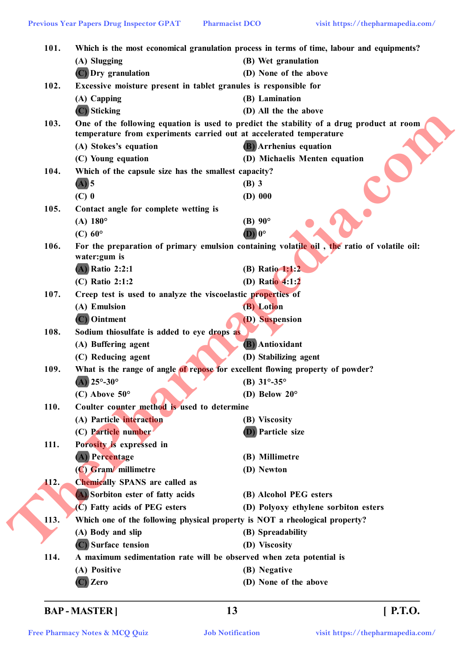| 101. |                                                                      | Which is the most economical granulation process in terms of time, labour and equipments?   |
|------|----------------------------------------------------------------------|---------------------------------------------------------------------------------------------|
|      | (A) Slugging                                                         | (B) Wet granulation                                                                         |
|      | (C) Dry granulation                                                  | (D) None of the above                                                                       |
| 102. | Excessive moisture present in tablet granules is responsible for     |                                                                                             |
|      | (A) Capping                                                          | (B) Lamination                                                                              |
|      | $(C)$ Sticking                                                       | (D) All the the above                                                                       |
| 103. |                                                                      | One of the following equation is used to predict the stability of a drug product at room    |
|      | temperature from experiments carried out at accelerated temperature  |                                                                                             |
|      | (A) Stokes's equation<br>(C) Young equation                          | (B) Arrhenius equation<br>(D) Michaelis Menten equation                                     |
| 104. |                                                                      |                                                                                             |
|      | Which of the capsule size has the smallest capacity?                 |                                                                                             |
|      | $(A)$ 5                                                              | $(B)$ 3                                                                                     |
|      | $(C)$ 0                                                              | $(D)$ 000                                                                                   |
| 105. | Contact angle for complete wetting is                                | $(B)$ 90 $^{\circ}$                                                                         |
|      | (A) $180^{\circ}$                                                    | $\bf{D}$ ) $\bf{0}^{\circ}$                                                                 |
|      | $(C)$ 60 $^{\circ}$                                                  |                                                                                             |
| 106. | water: gum is                                                        | For the preparation of primary emulsion containing volatile oil, the ratio of volatile oil: |
|      | (A) Ratio 2:2:1                                                      | (B) Ratio 1:1:2                                                                             |
|      | (C) Ratio 2:1:2                                                      | (D) Ratio 4:1:2                                                                             |
| 107. | Creep test is used to analyze the viscoelastic properties of         |                                                                                             |
|      | (A) Emulsion                                                         | (B) Lotion                                                                                  |
|      | (C) Ointment                                                         | (D) Suspension                                                                              |
| 108. | Sodium thiosulfate is added to eye drops as                          |                                                                                             |
|      | (A) Buffering agent                                                  | <b>(B)</b> Antioxidant                                                                      |
|      | (C) Reducing agent                                                   | (D) Stabilizing agent                                                                       |
| 109. |                                                                      | What is the range of angle of repose for excellent flowing property of powder?              |
|      | $\overline{(\overline{A})}$ 25°-30°                                  | (B) $31^{\circ} - 35^{\circ}$                                                               |
|      | $(C)$ Above $50^{\circ}$                                             | (D) Below $20^{\circ}$                                                                      |
| 110. | Coulter counter method is used to determine                          |                                                                                             |
|      | (A) Particle interaction                                             | (B) Viscosity                                                                               |
|      | (C) Particle number                                                  | <b>(D)</b> Particle size                                                                    |
| 111. | Porosity is expressed in                                             |                                                                                             |
|      | (A) Percentage                                                       | (B) Millimetre                                                                              |
|      | (C) Gram/ millimetre                                                 | (D) Newton                                                                                  |
| 112. | <b>Chemically SPANS are called as</b>                                |                                                                                             |
|      | A) Sorbiton ester of fatty acids                                     | (B) Alcohol PEG esters                                                                      |
|      | (C) Fatty acids of PEG esters                                        | (D) Polyoxy ethylene sorbiton esters                                                        |
| 113. |                                                                      | Which one of the following physical property is NOT a rheological property?                 |
|      | (A) Body and slip                                                    | (B) Spreadability                                                                           |
|      | (C) Surface tension                                                  | (D) Viscosity                                                                               |
| 114. | A maximum sedimentation rate will be observed when zeta potential is |                                                                                             |
|      | (A) Positive                                                         | (B) Negative                                                                                |
|      |                                                                      |                                                                                             |

**BAP - MASTER ] 13 [ P.T.O.**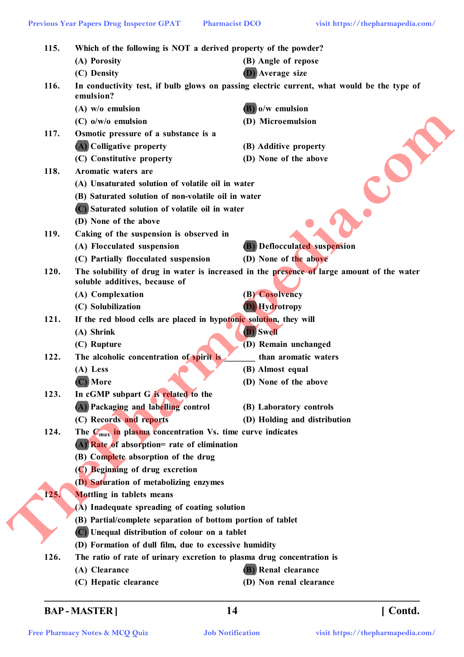**115. Which of the following is NOT a derived property of the powder? (A) Porosity (B) Angle of repose (C) Density (D) Average size 116. In conductivity test, if bulb glows on passing electric current, what would be the type of emulsion? (A) w/o emulsion (B) o/w emulsion (C) o/w/o emulsion (D) Microemulsion 117. Osmotic pressure of a substance is a (A) Colligative property (B) Additive property (C) Constitutive property (D) None of the above 118. Aromatic waters are (A) Unsaturated solution of volatile oil in water (B) Saturated solution of non-volatile oil in water (C) Saturated solution of volatile oil in water (D) None of the above 119. Caking of the suspension is observed in (A) Flocculated suspension (B) Deflocculated suspension (C) Partially flocculated suspension (D) None of the above 120. The solubility of drug in water is increased in the presence of large amount of the water soluble additives, because of (A) Complexation (B) Cosolvency (C) Solubilization (D) Hydrotropy 121. If the red blood cells are placed in hypotonic solution, they will (A) Shrink (B) Swell (C) Rupture (D) Remain unchanged 122.** The alcoholic concentration of spirit is than aromatic waters **(A) Less (B) Almost equal (C) More (D) None of the above 123. In cGMP subpart G is related to the (A) Packaging and labelling control (B) Laboratory controls (C) Records and reports (D) Holding and distribution 124. The Cmax in plasma concentration Vs. time curve indicates (A) Rate of absorption= rate of elimination (B) Complete absorption of the drug (C) Beginning of drug excretion (D) Saturation of metabolizing enzymes 125. Mottling in tablets means (A) Inadequate spreading of coating solution (B) Partial/complete separation of bottom portion of tablet (C) Unequal distribution of colour on a tablet (D) Formation of dull film, due to excessive humidity 126. The ratio of rate of urinary excretion to plasma drug concentration is (A) Clearance (B) Renal clearance Thermal Variat Pressure Controller Controller Controller Controller Controller Controller Controller Controller Controller Controller Controller Controller Controller Controller Controller Controller Controller Controlle** 

**(C) Hepatic clearance (D) Non renal clearance**

**BAP - MASTER ] 14 [ Contd.**

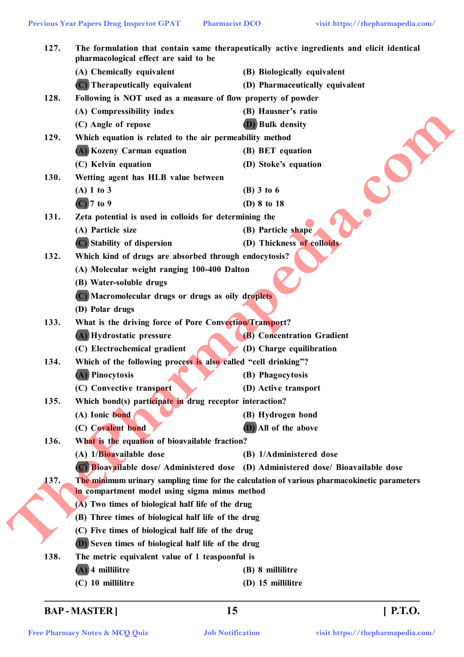| 127. | The formulation that contain same therapeutically active ingredients and elicit identical<br>pharmacological effect are said to be |                                                                                             |  |
|------|------------------------------------------------------------------------------------------------------------------------------------|---------------------------------------------------------------------------------------------|--|
|      | (A) Chemically equivalent                                                                                                          | (B) Biologically equivalent                                                                 |  |
|      | (C) Therapeutically equivalent                                                                                                     | (D) Pharmaceutically equivalent                                                             |  |
| 128. | Following is NOT used as a measure of flow property of powder                                                                      |                                                                                             |  |
|      | (A) Compressibility index                                                                                                          | (B) Hausner's ratio                                                                         |  |
|      | (C) Angle of repose                                                                                                                | (D) Bulk density                                                                            |  |
| 129. | Which equation is related to the air permeability method                                                                           |                                                                                             |  |
|      | (A) Kozeny Carman equation                                                                                                         | (B) BET equation                                                                            |  |
|      | (C) Kelvin equation                                                                                                                | (D) Stoke's equation                                                                        |  |
| 130. | Wetting agent has HLB value between                                                                                                |                                                                                             |  |
|      | $(A)$ 1 to 3                                                                                                                       | $(B)$ 3 to 6                                                                                |  |
|      | $(C)$ 7 to 9                                                                                                                       | (D) 8 to 18                                                                                 |  |
| 131. | Zeta potential is used in colloids for determining the                                                                             |                                                                                             |  |
|      | (A) Particle size                                                                                                                  | (B) Particle shape                                                                          |  |
|      | (C) Stability of dispersion                                                                                                        | (D) Thickness of colloids                                                                   |  |
| 132. | Which kind of drugs are absorbed through endocytosis?                                                                              |                                                                                             |  |
|      | (A) Molecular weight ranging 100-400 Dalton                                                                                        |                                                                                             |  |
|      | (B) Water-soluble drugs                                                                                                            |                                                                                             |  |
|      | (C) Macromolecular drugs or drugs as oily droplets                                                                                 |                                                                                             |  |
|      | (D) Polar drugs                                                                                                                    |                                                                                             |  |
| 133. | What is the driving force of Pore Convection/Transport?                                                                            |                                                                                             |  |
|      | (A) Hydrostatic pressure                                                                                                           | (B) Concentration Gradient                                                                  |  |
|      | (C) Electrochemical gradient                                                                                                       | (D) Charge equilibration                                                                    |  |
| 134. | Which of the following process is also called "cell drinking"?                                                                     |                                                                                             |  |
|      | (A) Pinocytosis                                                                                                                    | (B) Phagocytosis                                                                            |  |
|      | (C) Convective transport                                                                                                           | (D) Active transport                                                                        |  |
| 135. | Which bond(s) participate in drug receptor interaction?                                                                            |                                                                                             |  |
|      | (A) Ionic bond                                                                                                                     | (B) Hydrogen bond                                                                           |  |
|      | (C) Covalent bond                                                                                                                  | (D) All of the above                                                                        |  |
| 136. | What is the equation of bioavailable fraction?                                                                                     |                                                                                             |  |
|      | (A) 1/Bioavailable dose                                                                                                            | (B) 1/Administered dose                                                                     |  |
|      |                                                                                                                                    | (C) Bioavailable dose/ Administered dose (D) Administered dose/ Bioavailable dose           |  |
| 137. |                                                                                                                                    | The minimum urinary sampling time for the calculation of various pharmacokinetic parameters |  |
|      | in compartment model using sigma minus method                                                                                      |                                                                                             |  |
|      | (A) Two times of biological half life of the drug                                                                                  |                                                                                             |  |
|      | (B) Three times of biological half life of the drug                                                                                |                                                                                             |  |
|      | (C) Five times of biological half life of the drug                                                                                 |                                                                                             |  |
|      | (D) Seven times of biological half life of the drug                                                                                |                                                                                             |  |
| 138. | The metric equivalent value of 1 teaspoonful is                                                                                    |                                                                                             |  |
|      | 4 millilitre                                                                                                                       | (B) 8 millilitre                                                                            |  |
|      |                                                                                                                                    |                                                                                             |  |

# **BAP - MASTER ] 15 [ P.T.O.**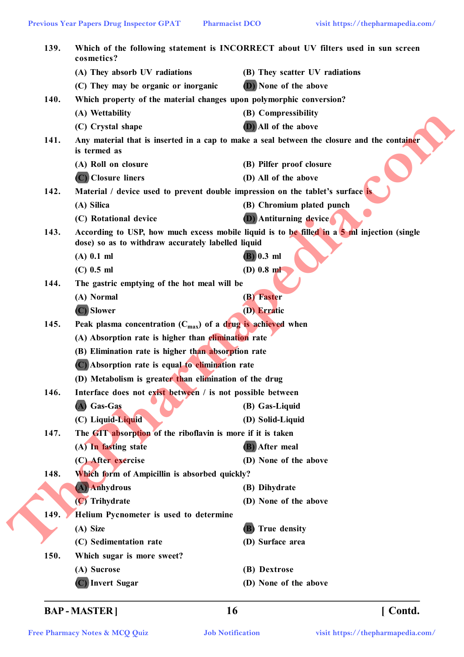| 139. | cosmetics?                                                                                                                                        | Which of the following statement is INCORRECT about UV filters used in sun screen           |  |
|------|---------------------------------------------------------------------------------------------------------------------------------------------------|---------------------------------------------------------------------------------------------|--|
|      | (A) They absorb UV radiations                                                                                                                     | (B) They scatter UV radiations                                                              |  |
|      | (C) They may be organic or inorganic                                                                                                              | (D) None of the above                                                                       |  |
| 140. | Which property of the material changes upon polymorphic conversion?                                                                               |                                                                                             |  |
|      | (A) Wettability                                                                                                                                   | (B) Compressibility                                                                         |  |
|      | (C) Crystal shape                                                                                                                                 | (D) All of the above                                                                        |  |
| 141. | is termed as                                                                                                                                      | Any material that is inserted in a cap to make a seal between the closure and the container |  |
|      | (A) Roll on closure                                                                                                                               | (B) Pilfer proof closure                                                                    |  |
|      | (C) Closure liners                                                                                                                                | (D) All of the above                                                                        |  |
| 142. | Material / device used to prevent double impression on the tablet's surface is                                                                    |                                                                                             |  |
|      | (A) Silica                                                                                                                                        | (B) Chromium plated punch                                                                   |  |
|      | (C) Rotational device                                                                                                                             | <b>(D)</b> Antiturning device                                                               |  |
| 143. | According to USP, how much excess mobile liquid is to be filled in a 5 ml injection (single<br>dose) so as to withdraw accurately labelled liquid |                                                                                             |  |
|      | $(A)$ 0.1 ml                                                                                                                                      | $(B)$ 0.3 ml                                                                                |  |
|      | $(C)$ 0.5 ml                                                                                                                                      | $(D)$ 0.8 ml                                                                                |  |
| 144. | The gastric emptying of the hot meal will be                                                                                                      |                                                                                             |  |
|      | (A) Normal                                                                                                                                        | (B) Faster                                                                                  |  |
|      | (C) Slower                                                                                                                                        | (D) Erratic                                                                                 |  |
| 145. | Peak plasma concentration $(C_{max})$ of a drug is achieved when                                                                                  |                                                                                             |  |
|      | (A) Absorption rate is higher than elimination rate                                                                                               |                                                                                             |  |
|      | (B) Elimination rate is higher than absorption rate                                                                                               |                                                                                             |  |
|      | (C) Absorption rate is equal to elimination rate                                                                                                  |                                                                                             |  |
|      | (D) Metabolism is greater than elimination of the drug                                                                                            |                                                                                             |  |
| 146. | Interface does not exist between / is not possible between                                                                                        |                                                                                             |  |
|      | (A) Gas-Gas                                                                                                                                       | (B) Gas-Liquid                                                                              |  |
|      | (C) Liquid-Liquid                                                                                                                                 | (D) Solid-Liquid                                                                            |  |
| 147. | The GIT absorption of the riboflavin is more if it is taken                                                                                       |                                                                                             |  |
|      | (A) In fasting state                                                                                                                              | (B) After meal                                                                              |  |
|      | (C) After exercise                                                                                                                                | (D) None of the above                                                                       |  |
| 148. | Which form of Ampicillin is absorbed quickly?                                                                                                     |                                                                                             |  |
|      | (A) Anhydrous                                                                                                                                     | (B) Dihydrate                                                                               |  |
|      | (C) Trihydrate                                                                                                                                    | (D) None of the above                                                                       |  |
| 149. | Helium Pycnometer is used to determine                                                                                                            |                                                                                             |  |
|      | (A) Size                                                                                                                                          | <b>True density</b>                                                                         |  |
|      | (C) Sedimentation rate                                                                                                                            | (D) Surface area                                                                            |  |
| 150. | Which sugar is more sweet?                                                                                                                        |                                                                                             |  |
|      | (A) Sucrose                                                                                                                                       | (B) Dextrose                                                                                |  |
|      | (C) Invert Sugar                                                                                                                                  | (D) None of the above                                                                       |  |

**BAP - MASTER ] 16 [ Contd.**

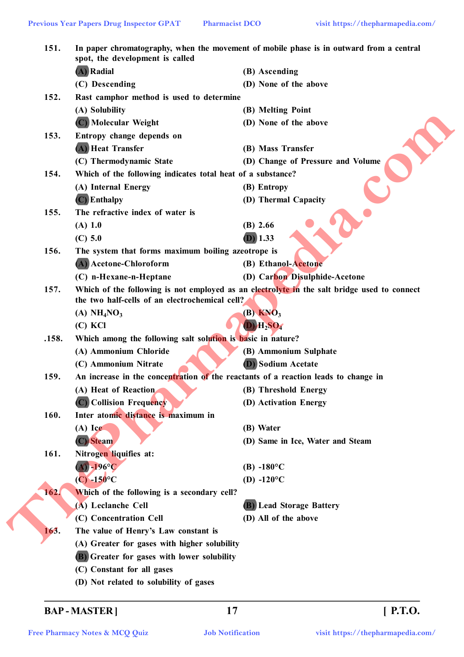| 151.  | In paper chromatography, when the movement of mobile phase is in outward from a central<br>spot, the development is called |                                                                                             |  |
|-------|----------------------------------------------------------------------------------------------------------------------------|---------------------------------------------------------------------------------------------|--|
|       | (A) Radial                                                                                                                 | (B) Ascending                                                                               |  |
|       | (C) Descending                                                                                                             | (D) None of the above                                                                       |  |
| 152.  | Rast camphor method is used to determine                                                                                   |                                                                                             |  |
|       | (A) Solubility                                                                                                             | (B) Melting Point                                                                           |  |
|       | (C) Molecular Weight                                                                                                       | (D) None of the above                                                                       |  |
| 153.  | Entropy change depends on                                                                                                  |                                                                                             |  |
|       | (A) Heat Transfer                                                                                                          | (B) Mass Transfer                                                                           |  |
|       | (C) Thermodynamic State                                                                                                    | (D) Change of Pressure and Volume                                                           |  |
| 154.  | Which of the following indicates total heat of a substance?                                                                |                                                                                             |  |
|       | (A) Internal Energy                                                                                                        | (B) Entropy                                                                                 |  |
|       | (C) Enthalpy                                                                                                               | (D) Thermal Capacity                                                                        |  |
| 155.  | The refractive index of water is                                                                                           |                                                                                             |  |
|       | (A) 1.0                                                                                                                    | $(B)$ 2.66                                                                                  |  |
|       | $(C)$ 5.0                                                                                                                  | $(D)$ 1.33                                                                                  |  |
| 156.  | The system that forms maximum boiling azeotrope is                                                                         |                                                                                             |  |
|       | (A) Acetone-Chloroform                                                                                                     | (B) Ethanol-Acetone                                                                         |  |
|       | (C) n-Hexane-n-Heptane                                                                                                     | (D) Carbon Disulphide-Acetone                                                               |  |
| 157.  | the two half-cells of an electrochemical cell?                                                                             | Which of the following is not employed as an electrolyte in the salt bridge used to connect |  |
|       | (A) $NH4NO3$                                                                                                               | $(B)$ KNO <sub>3</sub>                                                                      |  |
|       | $(C)$ KCl                                                                                                                  | $(D)$ $H_2SO_4$                                                                             |  |
| .158. | Which among the following salt solution is basic in nature?                                                                |                                                                                             |  |
|       | (A) Ammonium Chloride                                                                                                      | (B) Ammonium Sulphate                                                                       |  |
|       | (C) Ammonium Nitrate                                                                                                       | <b>D)</b> Sodium Acetate                                                                    |  |
| 159.  | An increase in the concentration of the reactants of a reaction leads to change in                                         |                                                                                             |  |
|       | (A) Heat of Reaction                                                                                                       | (B) Threshold Energy                                                                        |  |
|       | (C) Collision Frequency                                                                                                    | (D) Activation Energy                                                                       |  |
| 160.  | Inter atomic distance is maximum in                                                                                        |                                                                                             |  |
|       | $(A)$ Ice                                                                                                                  | (B) Water                                                                                   |  |
|       | (C) Steam                                                                                                                  | (D) Same in Ice, Water and Steam                                                            |  |
| 161.  | Nitrogen liquifies at:                                                                                                     |                                                                                             |  |
|       | $(A) - 196$ °C                                                                                                             | $(B) -180^{\circ}C$                                                                         |  |
|       | $(C) -150$ °C                                                                                                              | (D) -120 $^{\circ}$ C                                                                       |  |
| 162.  | Which of the following is a secondary cell?                                                                                |                                                                                             |  |
|       | (A) Leclanche Cell                                                                                                         | (B) Lead Storage Battery                                                                    |  |
|       | (C) Concentration Cell                                                                                                     | (D) All of the above                                                                        |  |
| 163.  | The value of Henry's Law constant is                                                                                       |                                                                                             |  |
|       | (A) Greater for gases with higher solubility                                                                               |                                                                                             |  |
|       |                                                                                                                            |                                                                                             |  |
|       |                                                                                                                            |                                                                                             |  |
|       | <b>(B)</b> Greater for gases with lower solubility<br>(C) Constant for all gases                                           |                                                                                             |  |

**BAP - MASTER ] 17 [ P.T.O.**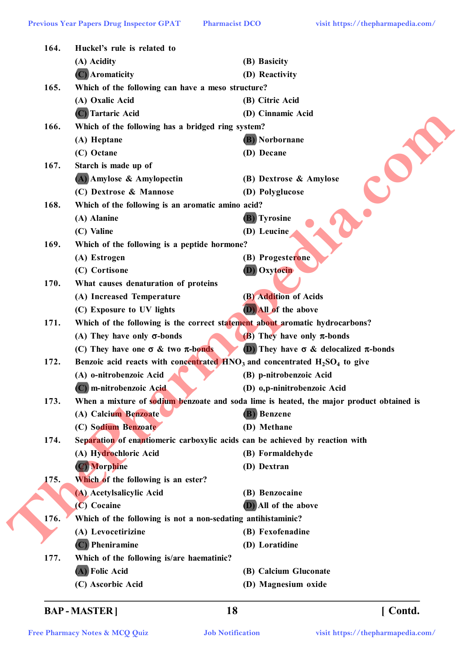**164. Huckel's rule is related to (A) Acidity (B) Basicity (C) Aromaticity (D) Reactivity 165. Which of the following can have a meso structure? (A) Oxalic Acid (B) Citric Acid (C) Tartaric Acid (D) Cinnamic Acid 166. Which of the following has a bridged ring system? (A) Heptane (B) Norbornane (C) Octane (D) Decane 167. Starch is made up of (A) Amylose & Amylopectin (B) Dextrose & Amylose (C) Dextrose & Mannose (D) Polyglucose 168. Which of the following is an aromatic amino acid? (A) Alanine (B) Tyrosine (C) Valine (D) Leucine 169. Which of the following is a peptide hormone? (A) Estrogen (B) Progesterone (C) Cortisone (D) Oxytocin 170. What causes denaturation of proteins (A) Increased Temperature (B) Addition of Acids (C) Exposure to UV lights (D) All of the above 171. Which of the following is the correct statement about aromatic hydrocarbons? (A) They have only -bonds (B) They have only -bonds (C)** They have one  $\sigma \&$  two  $\pi$ -bonds (D) They have  $\sigma \&$  delocalized  $\pi$ -bonds **172. Benzoic acid reacts with concentrated HNO3 and concentrated H2SO<sup>4</sup> to give (A) o-nitrobenzoic Acid (B) p-nitrobenzoic Acid (C) m-nitrobenzoic Acid (D) o,p-ninitrobenzoic Acid 173. When a mixture of sodium benzoate and soda lime is heated, the major product obtained is (A) Calcium Benzoate (B) Benzene (C) Sodium Benzoate (D) Methane 174. Separation of enantiomeric carboxylic acids can be achieved by reaction with (A) Hydrochloric Acid (B) Formaldehyde (C) Morphine (D) Dextran 175. Which of the following is an ester? (A) Acetylsalicylic Acid (B) Benzocaine (C) Cocaine (D) All of the above 176. Which of the following is not a non-sedating antihistaminic? (A) Levocetirizine (B) Fexofenadine (C) Pheniramine (D) Loratidine 177. Which of the following is/are haematinic? (A) Folic Acid (B) Calcium Gluconate The Controller Construction Construction Construction Construction Construction Construction Construction Construction Construction Construction Construction Construction Construction Construction Construction Constructio** 

- **(C) Ascorbic Acid (D) Magnesium oxide**
	-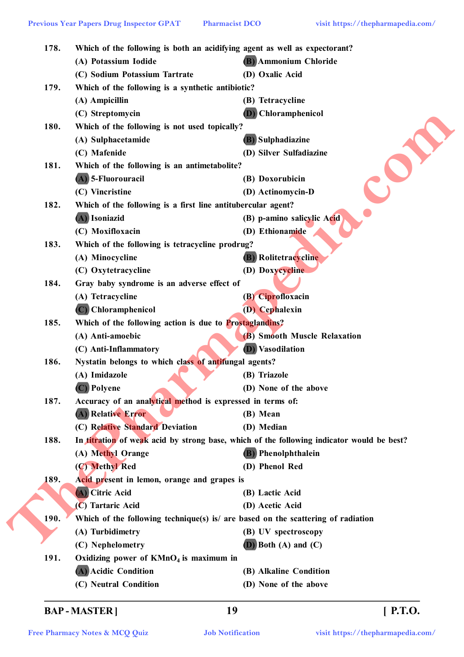| 178. |                                                              | Which of the following is both an acidifying agent as well as expectorant?                |  |  |
|------|--------------------------------------------------------------|-------------------------------------------------------------------------------------------|--|--|
|      | (A) Potassium Iodide                                         | <b>(B)</b> Ammonium Chloride                                                              |  |  |
|      | (C) Sodium Potassium Tartrate                                | (D) Oxalic Acid                                                                           |  |  |
| 179. | Which of the following is a synthetic antibiotic?            |                                                                                           |  |  |
|      | (A) Ampicillin                                               | (B) Tetracycline                                                                          |  |  |
|      | (C) Streptomycin                                             | Chloramphenicol                                                                           |  |  |
| 180. | Which of the following is not used topically?                |                                                                                           |  |  |
|      | (A) Sulphacetamide                                           | <b>(B)</b> Sulphadiazine                                                                  |  |  |
|      | (C) Mafenide                                                 | (D) Silver Sulfadiazine                                                                   |  |  |
| 181. | Which of the following is an antimetabolite?                 |                                                                                           |  |  |
|      | (A) 5-Fluorouracil                                           | (B) Doxorubicin                                                                           |  |  |
|      | (C) Vincristine                                              | (D) Actinomycin-D                                                                         |  |  |
| 182. | Which of the following is a first line antitubercular agent? |                                                                                           |  |  |
|      | (A) Isoniazid                                                | (B) p-amino salicylic Acid                                                                |  |  |
|      | (C) Moxifloxacin                                             | (D) Ethionamide                                                                           |  |  |
| 183. | Which of the following is tetracycline prodrug?              |                                                                                           |  |  |
|      | (A) Minocycline                                              | <b>(B)</b> Rolitetracycline                                                               |  |  |
|      | (C) Oxytetracycline                                          | (D) Doxycycline                                                                           |  |  |
| 184. | Gray baby syndrome is an adverse effect of                   |                                                                                           |  |  |
|      | (A) Tetracycline                                             | (B) Ciprofloxacin                                                                         |  |  |
|      | (C) Chloramphenicol                                          | <b>(D)</b> Cephalexin                                                                     |  |  |
| 185. | Which of the following action is due to Prostaglandins?      |                                                                                           |  |  |
|      | (A) Anti-amoebic                                             | (B) Smooth Muscle Relaxation                                                              |  |  |
|      | (C) Anti-Inflammatory                                        | <i>Vasodilation</i><br>(D)                                                                |  |  |
| 186. | Nystatin belongs to which class of antifungal agents?        |                                                                                           |  |  |
|      | (A) Imidazole                                                | (B) Triazole                                                                              |  |  |
|      | (C) Polyene                                                  | (D) None of the above                                                                     |  |  |
| 187. | Accuracy of an analytical method is expressed in terms of:   |                                                                                           |  |  |
|      | (A) Relative Error                                           | (B) Mean                                                                                  |  |  |
|      | (C) Relative Standard Deviation                              | (D) Median                                                                                |  |  |
| 188. |                                                              | In titration of weak acid by strong base, which of the following indicator would be best? |  |  |
|      | (A) Methyl Orange                                            | <b>(B)</b> Phenolphthalein                                                                |  |  |
|      | (C) Methyl Red                                               | (D) Phenol Red                                                                            |  |  |
| 189. | Acid present in lemon, orange and grapes is                  |                                                                                           |  |  |
|      | (A) Citric Acid                                              | (B) Lactic Acid                                                                           |  |  |
|      | (C) Tartaric Acid                                            | (D) Acetic Acid                                                                           |  |  |
| 190. |                                                              | Which of the following technique(s) is are based on the scattering of radiation           |  |  |
|      | (A) Turbidimetry                                             | (B) UV spectroscopy                                                                       |  |  |
|      | (C) Nephelometry                                             | $(D)$ Both $(A)$ and $(C)$                                                                |  |  |
| 191. | Oxidizing power of $KMnO4$ is maximum in                     |                                                                                           |  |  |
|      | (A) Acidic Condition                                         | (B) Alkaline Condition                                                                    |  |  |
|      | (C) Neutral Condition                                        | (D) None of the above                                                                     |  |  |
|      |                                                              |                                                                                           |  |  |

# **BAP - MASTER ] 19 [ P.T.O.**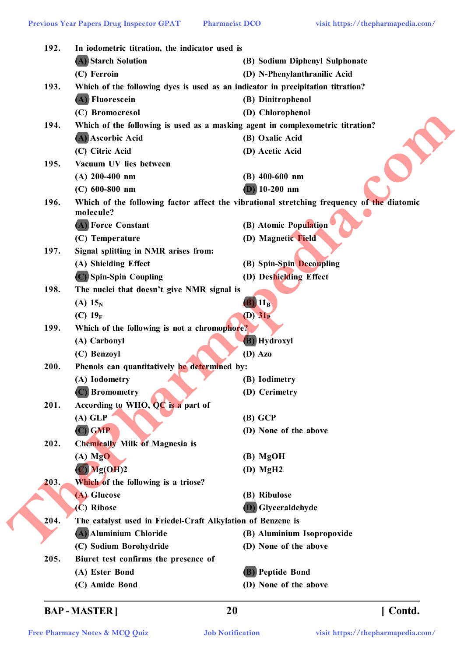| 192. | In iodometric titration, the indicator used is              |                                                                                           |  |  |
|------|-------------------------------------------------------------|-------------------------------------------------------------------------------------------|--|--|
|      | (A) Starch Solution                                         | (B) Sodium Diphenyl Sulphonate                                                            |  |  |
|      | (C) Ferroin                                                 | (D) N-Phenylanthranilic Acid                                                              |  |  |
| 193. |                                                             | Which of the following dyes is used as an indicator in precipitation titration?           |  |  |
|      | (A) Fluorescein                                             | (B) Dinitrophenol                                                                         |  |  |
|      | (C) Bromocresol                                             | (D) Chlorophenol                                                                          |  |  |
| 194. |                                                             | Which of the following is used as a masking agent in complexometric titration?            |  |  |
|      | (A) Ascorbic Acid                                           | (B) Oxalic Acid                                                                           |  |  |
|      | (C) Citric Acid                                             | (D) Acetic Acid                                                                           |  |  |
| 195. | Vacuum UV lies between                                      |                                                                                           |  |  |
|      | $(A)$ 200-400 nm                                            | $(B)$ 400-600 nm                                                                          |  |  |
|      | $(C)$ 600-800 nm                                            | $(D)$ 10-200 nm                                                                           |  |  |
| 196. |                                                             | Which of the following factor affect the vibrational stretching frequency of the diatomic |  |  |
|      | molecule?                                                   |                                                                                           |  |  |
|      | (A) Force Constant                                          | (B) Atomic Population                                                                     |  |  |
|      | (C) Temperature                                             | (D) Magnetic Field                                                                        |  |  |
| 197. | Signal splitting in NMR arises from:                        |                                                                                           |  |  |
|      | (A) Shielding Effect                                        | (B) Spin-Spin Decoupling                                                                  |  |  |
|      | (C) Spin-Spin Coupling                                      | (D) Deshielding Effect                                                                    |  |  |
| 198. | The nuclei that doesn't give NMR signal is                  |                                                                                           |  |  |
|      | (A) $15_{N}$                                                | $11_B$                                                                                    |  |  |
|      | (C) $19_F$                                                  | $(D)$ 31 <sub>P</sub>                                                                     |  |  |
| 199. | Which of the following is not a chromophore?                |                                                                                           |  |  |
|      | (A) Carbonyl                                                | <b>B</b> ) Hydroxyl                                                                       |  |  |
|      | (C) Benzoyl                                                 | (D) Azo                                                                                   |  |  |
| 200. | Phenols can quantitatively be determined by:                |                                                                                           |  |  |
|      | (A) Iodometry                                               | (B) Iodimetry                                                                             |  |  |
|      | <b>Bromometry</b>                                           | (D) Cerimetry                                                                             |  |  |
| 201. | According to WHO, QC is a part of                           |                                                                                           |  |  |
|      | $(A)$ GLP                                                   | $(B)$ GCP                                                                                 |  |  |
|      | $(C)$ GMP                                                   | (D) None of the above                                                                     |  |  |
| 202. | <b>Chemically Milk of Magnesia is</b>                       |                                                                                           |  |  |
|      | $(A)$ MgO                                                   | (B) MgOH                                                                                  |  |  |
|      | $\overline{C}$ Mg(OH)2                                      | $(D)$ MgH <sub>2</sub>                                                                    |  |  |
| 203. | Which of the following is a triose?                         |                                                                                           |  |  |
|      | (A) Glucose                                                 | (B) Ribulose                                                                              |  |  |
|      | (C) Ribose                                                  | <b>(D)</b> Glyceraldehyde                                                                 |  |  |
| 204. | The catalyst used in Friedel-Craft Alkylation of Benzene is |                                                                                           |  |  |
|      | (A) Aluminium Chloride                                      | (B) Aluminium Isopropoxide                                                                |  |  |
|      | (C) Sodium Borohydride                                      | (D) None of the above                                                                     |  |  |
| 205. | Biuret test confirms the presence of                        |                                                                                           |  |  |
|      | (A) Ester Bond                                              | <b>(B)</b> Peptide Bond                                                                   |  |  |
|      |                                                             |                                                                                           |  |  |

# **BAP - MASTER ] 20 [ Contd.**

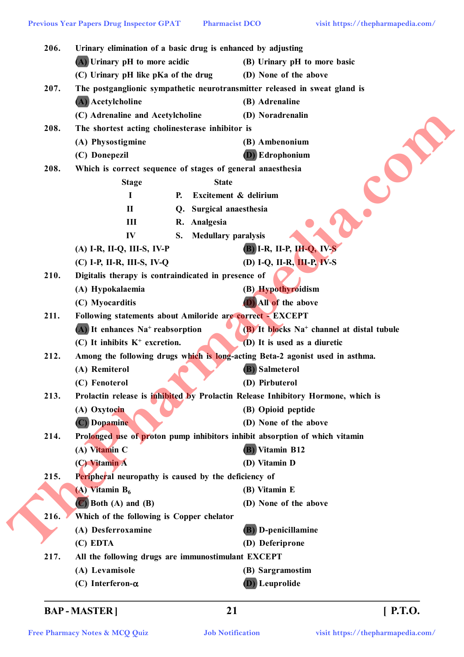| 206. | Urinary elimination of a basic drug is enhanced by adjusting<br>$(A)$ Urinary pH to more acidic |    |                            | (B) Urinary pH to more basic                                                     |  |
|------|-------------------------------------------------------------------------------------------------|----|----------------------------|----------------------------------------------------------------------------------|--|
|      | (C) Urinary pH like pKa of the drug                                                             |    |                            | (D) None of the above                                                            |  |
| 207. |                                                                                                 |    |                            | The postganglionic sympathetic neurotransmitter released in sweat gland is       |  |
|      | (A) Acetylcholine                                                                               |    |                            | (B) Adrenaline                                                                   |  |
|      | (C) Adrenaline and Acetylcholine                                                                |    |                            | (D) Noradrenalin                                                                 |  |
| 208. | The shortest acting cholinesterase inhibitor is                                                 |    |                            |                                                                                  |  |
|      | (A) Physostigmine                                                                               |    |                            | (B) Ambenonium                                                                   |  |
|      | (C) Donepezil                                                                                   |    |                            | <b>(D)</b> Edrophonium                                                           |  |
| 208. | Which is correct sequence of stages of general anaesthesia                                      |    |                            |                                                                                  |  |
|      | <b>Stage</b>                                                                                    |    | <b>State</b>               |                                                                                  |  |
|      | I                                                                                               | Р. | Excitement & delirium      |                                                                                  |  |
|      | $\mathbf{I}$                                                                                    | Q. | Surgical anaesthesia       |                                                                                  |  |
|      | III                                                                                             |    | R. Analgesia               |                                                                                  |  |
|      | IV                                                                                              | S. | <b>Medullary paralysis</b> |                                                                                  |  |
|      | (A) I-R, II-Q, III-S, IV-P                                                                      |    |                            | $(B)$ I-R, II-P, III-Q, IV-S                                                     |  |
|      | (C) I-P, II-R, III-S, IV-Q                                                                      |    |                            | (D) I-Q, II-R, III-P, IV-S                                                       |  |
| 210. | Digitalis therapy is contraindicated in presence of                                             |    |                            |                                                                                  |  |
|      | (A) Hypokalaemia                                                                                |    |                            | (B) Hypothyroidism                                                               |  |
|      | (C) Myocarditis                                                                                 |    |                            | <b>D</b> ) All of the above                                                      |  |
| 211. | Following statements about Amiloride are correct - EXCEPT                                       |    |                            |                                                                                  |  |
|      | $(A)$ It enhances Na <sup>+</sup> reabsorption                                                  |    |                            | (B) It blocks Na <sup>+</sup> channel at distal tubule                           |  |
|      | $(C)$ It inhibits $K^+$ excretion.                                                              |    |                            | (D) It is used as a diuretic                                                     |  |
| 212. |                                                                                                 |    |                            | Among the following drugs which is long-acting Beta-2 agonist used in asthma.    |  |
|      | (A) Remiterol                                                                                   |    |                            | <b>(B)</b> Salmeterol                                                            |  |
|      | (C) Fenoterol                                                                                   |    |                            | (D) Pirbuterol                                                                   |  |
| 213. |                                                                                                 |    |                            | Prolactin release is inhibited by Prolactin Release Inhibitory Hormone, which is |  |
|      | (A) Oxytocin                                                                                    |    |                            | (B) Opioid peptide                                                               |  |
|      | (C) Dopamine                                                                                    |    |                            | (D) None of the above                                                            |  |
| 214. |                                                                                                 |    |                            | Prolonged use of proton pump inhibitors inhibit absorption of which vitamin      |  |
|      | (A) Vitamin C                                                                                   |    |                            | <b>(B)</b> Vitamin B12                                                           |  |
|      | (C) Vitamin A                                                                                   |    |                            | (D) Vitamin D                                                                    |  |
| 215. | Peripheral neuropathy is caused by the deficiency of                                            |    |                            |                                                                                  |  |
|      | $(A)$ Vitamin $B_6$                                                                             |    |                            | (B) Vitamin E                                                                    |  |
|      | $\left(\mathbb{C}\right)$ Both $(A)$ and $(B)$                                                  |    |                            | (D) None of the above                                                            |  |
| 216. | Which of the following is Copper chelator                                                       |    |                            |                                                                                  |  |
|      | (A) Desferroxamine                                                                              |    |                            | (B) D-penicillamine                                                              |  |
|      | (C) EDTA                                                                                        |    |                            | (D) Deferiprone                                                                  |  |
| 217. | All the following drugs are immunostimulant EXCEPT                                              |    |                            |                                                                                  |  |
|      | (A) Levamisole                                                                                  |    |                            | (B) Sargramostim                                                                 |  |
|      | (C) Interferon- $\alpha$                                                                        |    |                            | <b>(D)</b> Leuprolide                                                            |  |

# **BAP - MASTER ] 21 [ P.T.O.**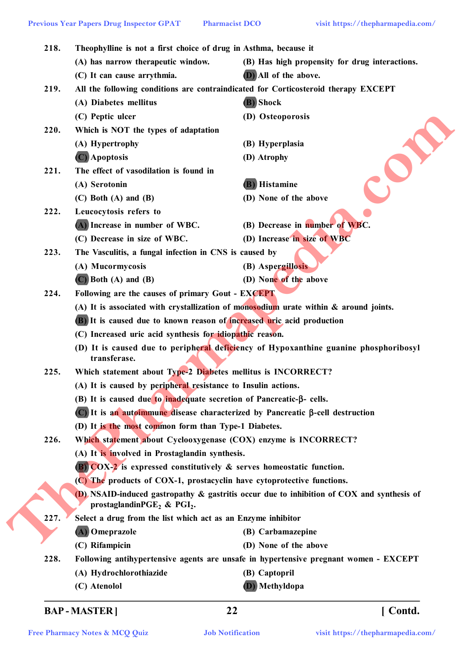| 218. | Theophylline is not a first choice of drug in Asthma, because it<br>(A) has narrow therapeutic window. | (B) Has high propensity for drug interactions.                                                     |  |
|------|--------------------------------------------------------------------------------------------------------|----------------------------------------------------------------------------------------------------|--|
|      | (C) It can cause arrythmia.                                                                            | (D) All of the above.                                                                              |  |
| 219. |                                                                                                        | All the following conditions are contraindicated for Corticosteroid therapy EXCEPT                 |  |
|      | (A) Diabetes mellitus                                                                                  | (B) Shock                                                                                          |  |
|      | (C) Peptic ulcer                                                                                       | (D) Osteoporosis                                                                                   |  |
| 220. | Which is NOT the types of adaptation                                                                   |                                                                                                    |  |
|      | (A) Hypertrophy                                                                                        | (B) Hyperplasia                                                                                    |  |
|      | $(C)$ Apoptosis                                                                                        | (D) Atrophy                                                                                        |  |
| 221. | The effect of vasodilation is found in                                                                 |                                                                                                    |  |
|      | (A) Serotonin                                                                                          | (B) Histamine                                                                                      |  |
|      | $(C)$ Both $(A)$ and $(B)$                                                                             | (D) None of the above                                                                              |  |
| 222. | Leucocytosis refers to                                                                                 |                                                                                                    |  |
|      | (A) Increase in number of WBC.                                                                         | (B) Decrease in number of WBC.                                                                     |  |
|      | (C) Decrease in size of WBC.                                                                           | (D) Increase in size of WBC                                                                        |  |
| 223. | The Vasculitis, a fungal infection in CNS is caused by                                                 |                                                                                                    |  |
|      | (A) Mucormycosis                                                                                       | (B) Aspergillosis                                                                                  |  |
|      | $(C)$ Both $(A)$ and $(B)$                                                                             | (D) None of the above                                                                              |  |
| 224. | Following are the causes of primary Gout - EXCEPT                                                      |                                                                                                    |  |
|      | (A) It is associated with crystallization of monosodium urate within $\&$ around joints.               |                                                                                                    |  |
|      | (B) It is caused due to known reason of increased uric acid production                                 |                                                                                                    |  |
|      | (C) Increased uric acid synthesis for idiopathic reason.                                               |                                                                                                    |  |
|      | transferase.                                                                                           | (D) It is caused due to peripheral deficiency of Hypoxanthine guanine phosphoribosyl               |  |
| 225. | Which statement about Type-2 Diabetes mellitus is INCORRECT?                                           |                                                                                                    |  |
|      | (A) It is caused by peripheral resistance to Insulin actions.                                          |                                                                                                    |  |
|      | (B) It is caused due to inadequate secretion of Pancreatic-β- cells.                                   |                                                                                                    |  |
|      |                                                                                                        | $\overline{C}$ ) It is an autoimmune disease characterized by Pancreatic $\beta$ -cell destruction |  |
|      | (D) It is the most common form than Type-1 Diabetes.                                                   |                                                                                                    |  |
| 226. | Which statement about Cyclooxygenase (COX) enzyme is INCORRECT?                                        |                                                                                                    |  |
|      | (A) It is involved in Prostaglandin synthesis.                                                         |                                                                                                    |  |
|      | <b>(B)</b> $COX-2$ is expressed constitutively $\&$ serves homeostatic function.                       |                                                                                                    |  |
|      | (C) The products of COX-1, prostacyclin have cytoprotective functions.                                 |                                                                                                    |  |
|      | prostaglandin $PGE_2$ & $PGI_2$ .                                                                      | (D) NSAID-induced gastropathy $\&$ gastritis occur due to inhibition of COX and synthesis of       |  |
| 227. | Select a drug from the list which act as an Enzyme inhibitor                                           |                                                                                                    |  |
|      | (A) Omeprazole                                                                                         | (B) Carbamazepine                                                                                  |  |
|      | (C) Rifampicin                                                                                         | (D) None of the above                                                                              |  |
| 228. |                                                                                                        | Following antihypertensive agents are unsafe in hypertensive pregnant women - EXCEPT               |  |
|      | (A) Hydrochlorothiazide                                                                                | (B) Captopril                                                                                      |  |
|      | (C) Atenolol                                                                                           | (D) Methyldopa                                                                                     |  |

# **BAP - MASTER ] 22 [ Contd.**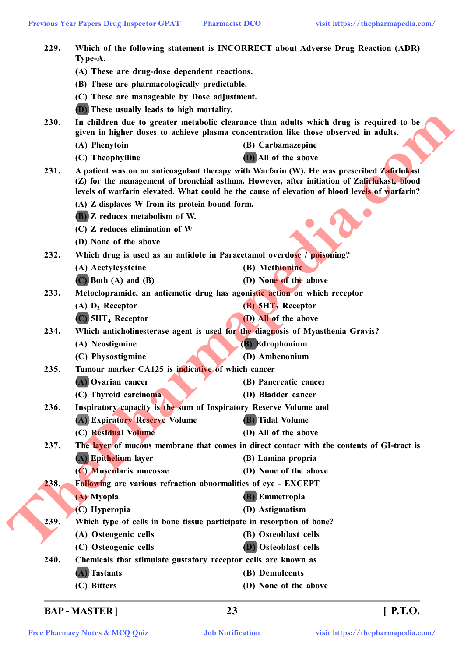| 229. | Which of the following statement is INCORRECT about Adverse Drug Reaction (ADR)<br>Type-A. |                                                                                                                                                                                                                                                                                             |  |
|------|--------------------------------------------------------------------------------------------|---------------------------------------------------------------------------------------------------------------------------------------------------------------------------------------------------------------------------------------------------------------------------------------------|--|
|      | (A) These are drug-dose dependent reactions.                                               |                                                                                                                                                                                                                                                                                             |  |
|      | (B) These are pharmacologically predictable.                                               |                                                                                                                                                                                                                                                                                             |  |
|      | (C) These are manageable by Dose adjustment.                                               |                                                                                                                                                                                                                                                                                             |  |
|      | (D) These usually leads to high mortality.                                                 |                                                                                                                                                                                                                                                                                             |  |
| 230. |                                                                                            | In children due to greater metabolic clearance than adults which drug is required to be<br>given in higher doses to achieve plasma concentration like those observed in adults.                                                                                                             |  |
|      | (A) Phenytoin                                                                              | (B) Carbamazepine                                                                                                                                                                                                                                                                           |  |
|      | (C) Theophylline                                                                           | (D) All of the above                                                                                                                                                                                                                                                                        |  |
| 231. |                                                                                            | A patient was on an anticoagulant therapy with Warfarin (W). He was prescribed Zafirlukast<br>(Z) for the management of bronchial asthma. However, after initiation of Zafirlukast, blood<br>levels of warfarin elevated. What could be the cause of elevation of blood levels of warfarin? |  |
|      | (A) Z displaces W from its protein bound form.                                             |                                                                                                                                                                                                                                                                                             |  |
|      | (B) Z reduces metabolism of W.                                                             |                                                                                                                                                                                                                                                                                             |  |
|      | (C) Z reduces elimination of W                                                             |                                                                                                                                                                                                                                                                                             |  |
|      | (D) None of the above                                                                      |                                                                                                                                                                                                                                                                                             |  |
| 232. |                                                                                            | Which drug is used as an antidote in Paracetamol overdose / poisoning?                                                                                                                                                                                                                      |  |
|      | (A) Acetylcysteine                                                                         | (B) Methionine                                                                                                                                                                                                                                                                              |  |
|      | $(C)$ Both $(A)$ and $(B)$                                                                 | (D) None of the above                                                                                                                                                                                                                                                                       |  |
| 233. |                                                                                            | Metoclopramide, an antiemetic drug has agonistic action on which receptor                                                                                                                                                                                                                   |  |
|      | $(A)$ $D_2$ Receptor                                                                       | $(B)$ 5HT <sub>3</sub> Receptor                                                                                                                                                                                                                                                             |  |
|      | $(C)$ 5HT <sub>4</sub> Receptor                                                            | (D) All of the above                                                                                                                                                                                                                                                                        |  |
| 234. |                                                                                            | Which anticholinesterase agent is used for the diagnosis of Myasthenia Gravis?                                                                                                                                                                                                              |  |
|      | (A) Neostigmine                                                                            | (B) Edrophonium                                                                                                                                                                                                                                                                             |  |
|      | (C) Physostigmine                                                                          | (D) Ambenonium                                                                                                                                                                                                                                                                              |  |
| 235. | Tumour marker CA125 is indicative of which cancer                                          |                                                                                                                                                                                                                                                                                             |  |
|      | (A) Ovarian cancer                                                                         | (B) Pancreatic cancer                                                                                                                                                                                                                                                                       |  |
|      | (C) Thyroid carcinoma                                                                      | (D) Bladder cancer                                                                                                                                                                                                                                                                          |  |
| 236. |                                                                                            | Inspiratory capacity is the sum of Inspiratory Reserve Volume and                                                                                                                                                                                                                           |  |
|      | (A) Expiratory Reserve Volume                                                              | <b>(B)</b> Tidal Volume                                                                                                                                                                                                                                                                     |  |
|      | (C) Residual Volume                                                                        | (D) All of the above                                                                                                                                                                                                                                                                        |  |
| 237. |                                                                                            | The layer of mucous membrane that comes in direct contact with the contents of GI-tract is                                                                                                                                                                                                  |  |
|      | (A) Epithelium layer                                                                       | (B) Lamina propria                                                                                                                                                                                                                                                                          |  |
|      | (C) Muscularis mucosae                                                                     | (D) None of the above                                                                                                                                                                                                                                                                       |  |
| 238. |                                                                                            | Following are various refraction abnormalities of eye - EXCEPT                                                                                                                                                                                                                              |  |
|      | (A) Myopia                                                                                 | <b>(B)</b> Emmetropia                                                                                                                                                                                                                                                                       |  |
|      | (C) Hyperopia                                                                              | (D) Astigmatism                                                                                                                                                                                                                                                                             |  |
| 239. |                                                                                            | Which type of cells in bone tissue participate in resorption of bone?                                                                                                                                                                                                                       |  |
|      | (A) Osteogenic cells                                                                       | (B) Osteoblast cells                                                                                                                                                                                                                                                                        |  |
|      | (C) Osteogenic cells                                                                       | (D) Osteoblast cells                                                                                                                                                                                                                                                                        |  |
| 240. |                                                                                            | Chemicals that stimulate gustatory receptor cells are known as                                                                                                                                                                                                                              |  |
|      | (A) Tastants                                                                               | (B) Demulcents                                                                                                                                                                                                                                                                              |  |
|      | (C) Bitters                                                                                | (D) None of the above                                                                                                                                                                                                                                                                       |  |

**BAP - MASTER ] 23 [ P.T.O.**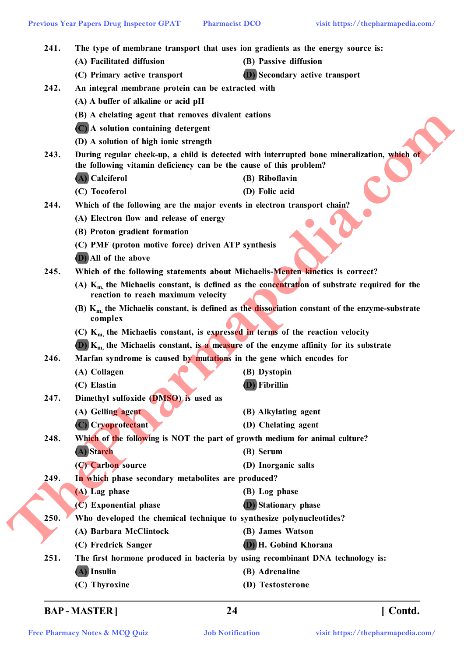|      | <b>Previous Year Papers Drug Inspector GPAT</b>                                                                                           | <b>Pharmacist DCO</b>                                                                | visit https://thepharmapedia.com/                                                                     |  |
|------|-------------------------------------------------------------------------------------------------------------------------------------------|--------------------------------------------------------------------------------------|-------------------------------------------------------------------------------------------------------|--|
| 241. | The type of membrane transport that uses ion gradients as the energy source is:                                                           |                                                                                      |                                                                                                       |  |
|      | (A) Facilitated diffusion                                                                                                                 | (B) Passive diffusion                                                                |                                                                                                       |  |
|      | (C) Primary active transport                                                                                                              |                                                                                      | (D) Secondary active transport                                                                        |  |
| 242. | An integral membrane protein can be extracted with                                                                                        |                                                                                      |                                                                                                       |  |
|      | (A) A buffer of alkaline or acid pH                                                                                                       |                                                                                      |                                                                                                       |  |
|      | (B) A chelating agent that removes divalent cations                                                                                       |                                                                                      |                                                                                                       |  |
|      | (C) A solution containing detergent                                                                                                       |                                                                                      |                                                                                                       |  |
|      | (D) A solution of high ionic strength                                                                                                     |                                                                                      |                                                                                                       |  |
| 243. |                                                                                                                                           | the following vitamin deficiency can be the cause of this problem?                   | During regular check-up, a child is detected with interrupted bone mineralization, which of           |  |
|      | (A) Calciferol                                                                                                                            | (B) Riboflavin                                                                       |                                                                                                       |  |
|      | (C) Tocoferol                                                                                                                             | (D) Folic acid                                                                       |                                                                                                       |  |
| 244. |                                                                                                                                           | Which of the following are the major events in electron transport chain?             |                                                                                                       |  |
|      | (A) Electron flow and release of energy                                                                                                   |                                                                                      |                                                                                                       |  |
|      | (B) Proton gradient formation                                                                                                             |                                                                                      |                                                                                                       |  |
|      | (C) PMF (proton motive force) driven ATP synthesis                                                                                        |                                                                                      |                                                                                                       |  |
|      | (D) All of the above                                                                                                                      |                                                                                      |                                                                                                       |  |
| 245. | Which of the following statements about Michaelis-Menten kinetics is correct?                                                             |                                                                                      |                                                                                                       |  |
|      | (A) $K_{m}$ , the Michaelis constant, is defined as the concentration of substrate required for the<br>reaction to reach maximum velocity |                                                                                      |                                                                                                       |  |
|      | complex                                                                                                                                   |                                                                                      | (B) $K_{m}$ , the Michaelis constant, is defined as the dissociation constant of the enzyme-substrate |  |
|      |                                                                                                                                           | (C) $K_{m}$ , the Michaelis constant, is expressed in terms of the reaction velocity |                                                                                                       |  |
|      | $(D)$ K <sub>m</sub> the Michaelis constant, is a measure of the enzyme affinity for its substrate                                        |                                                                                      |                                                                                                       |  |
| 246. | Marfan syndrome is caused by mutations in the gene which encodes for                                                                      |                                                                                      |                                                                                                       |  |
|      | the contract of the contract of the contract of<br>(A) Collagen                                                                           | (B) Dystopin                                                                         |                                                                                                       |  |
|      | (C) Elastin                                                                                                                               | $(D)$ Fibrillin                                                                      |                                                                                                       |  |
| 247. | Dimethyl sulfoxide (DMSO) is used as                                                                                                      |                                                                                      |                                                                                                       |  |
|      | (A) Gelling agent                                                                                                                         | (B) Alkylating agent                                                                 |                                                                                                       |  |
|      | (C) Cryoprotectant                                                                                                                        | (D) Chelating agent                                                                  |                                                                                                       |  |
| 248. |                                                                                                                                           | Which of the following is NOT the part of growth medium for animal culture?          |                                                                                                       |  |
|      | (A) Starch                                                                                                                                | (B) Serum                                                                            |                                                                                                       |  |
|      | (C) Carbon source                                                                                                                         | (D) Inorganic salts                                                                  |                                                                                                       |  |
| 249. | In which phase secondary metabolites are produced?                                                                                        |                                                                                      |                                                                                                       |  |
|      | (A) Lag phase                                                                                                                             | (B) Log phase                                                                        |                                                                                                       |  |
|      | $(C)$ Exponential phase                                                                                                                   | <b>D</b> ) Stationary phase                                                          |                                                                                                       |  |
| 250. |                                                                                                                                           | Who developed the chemical technique to synthesize polynucleotides?                  |                                                                                                       |  |
|      | (A) Barbara McClintock                                                                                                                    | (B) James Watson                                                                     |                                                                                                       |  |
|      | (C) Fredrick Sanger                                                                                                                       | (D) H. Gobind Khorana                                                                |                                                                                                       |  |
| 251. |                                                                                                                                           | The first hormone produced in bacteria by using recombinant DNA technology is:       |                                                                                                       |  |
|      | $(A)$ Insulin                                                                                                                             | (B) Adrenaline                                                                       |                                                                                                       |  |
|      | (C) Thyroxine                                                                                                                             | (D) Testosterone                                                                     |                                                                                                       |  |

**BAP - MASTER ] 24 [ Contd.**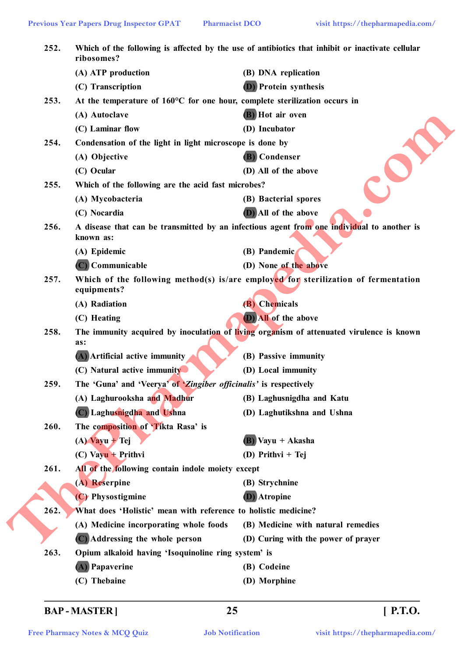| 252. | ribosomes?                                                                                      | Which of the following is affected by the use of antibiotics that inhibit or inactivate cellular |  |  |
|------|-------------------------------------------------------------------------------------------------|--------------------------------------------------------------------------------------------------|--|--|
|      | (A) ATP production                                                                              | (B) DNA replication                                                                              |  |  |
|      | (C) Transcription                                                                               | <b>D</b> ) Protein synthesis                                                                     |  |  |
| 253. | At the temperature of 160°C for one hour, complete sterilization occurs in                      |                                                                                                  |  |  |
|      | (A) Autoclave                                                                                   | (B) Hot air oven                                                                                 |  |  |
|      | (C) Laminar flow                                                                                | (D) Incubator                                                                                    |  |  |
| 254. | Condensation of the light in light microscope is done by                                        |                                                                                                  |  |  |
|      | (A) Objective                                                                                   | (B) Condenser                                                                                    |  |  |
|      | (C) Ocular                                                                                      | (D) All of the above                                                                             |  |  |
| 255. | Which of the following are the acid fast microbes?                                              |                                                                                                  |  |  |
|      | (A) Mycobacteria                                                                                | (B) Bacterial spores                                                                             |  |  |
|      | (C) Nocardia                                                                                    | (D) All of the above                                                                             |  |  |
| 256. | known as:                                                                                       | A disease that can be transmitted by an infectious agent from one individual to another is       |  |  |
|      | (A) Epidemic                                                                                    | (B) Pandemic                                                                                     |  |  |
|      | (C) Communicable                                                                                | (D) None of the above                                                                            |  |  |
| 257. | equipments?                                                                                     | Which of the following method(s) is/are employed for sterilization of fermentation               |  |  |
|      | (A) Radiation                                                                                   | (B) Chemicals                                                                                    |  |  |
|      | (C) Heating                                                                                     | (D) All of the above                                                                             |  |  |
| 258. | The immunity acquired by inoculation of living organism of attenuated virulence is known<br>as: |                                                                                                  |  |  |
|      | (A) Artificial active immunity                                                                  | (B) Passive immunity                                                                             |  |  |
|      | (C) Natural active immunity                                                                     | (D) Local immunity                                                                               |  |  |
| 259. | The 'Guna' and 'Veerya' of 'Zingiber officinalis' is respectively                               |                                                                                                  |  |  |
|      | (A) Laghurooksha and Madhur                                                                     | (B) Laghusnigdha and Katu                                                                        |  |  |
|      | (C) Laghusnigdha and Ushna                                                                      | (D) Laghutikshna and Ushna                                                                       |  |  |
| 260. | The composition of Tikta Rasa' is                                                               |                                                                                                  |  |  |
|      | $(A)$ Vayu + Tej                                                                                | $(B)$ Vayu + Akasha                                                                              |  |  |
|      | $(C)$ Vayu + Prithvi                                                                            | (D) Prithvi + Tej                                                                                |  |  |
| 261. | All of the following contain indole moiety except                                               |                                                                                                  |  |  |
|      | (A) Reserpine                                                                                   | (B) Strychnine                                                                                   |  |  |
|      | (C) Physostigmine                                                                               | <b>(D)</b> Atropine                                                                              |  |  |
| 262. | What does 'Holistic' mean with reference to holistic medicine?                                  |                                                                                                  |  |  |
|      | (A) Medicine incorporating whole foods                                                          | (B) Medicine with natural remedies                                                               |  |  |
|      | (C) Addressing the whole person                                                                 | (D) Curing with the power of prayer                                                              |  |  |
| 263. | Opium alkaloid having 'Isoquinoline ring system' is                                             |                                                                                                  |  |  |
|      | (A) Papaverine                                                                                  | (B) Codeine                                                                                      |  |  |
|      | (C) Thebaine                                                                                    | (D) Morphine                                                                                     |  |  |

**BAP - MASTER ] 25 [ P.T.O.**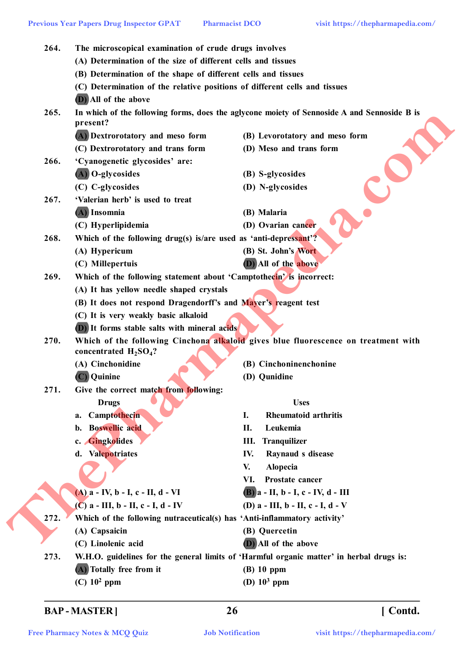|      | <b>Previous Year Papers Drug Inspector GPAT</b>                                                                | visit https://thepharmapedia.com/<br><b>Pharmacist DCO</b>                                  |  |  |  |
|------|----------------------------------------------------------------------------------------------------------------|---------------------------------------------------------------------------------------------|--|--|--|
| 264. | The microscopical examination of crude drugs involves                                                          |                                                                                             |  |  |  |
|      | (A) Determination of the size of different cells and tissues                                                   |                                                                                             |  |  |  |
|      | (B) Determination of the shape of different cells and tissues                                                  |                                                                                             |  |  |  |
|      | (C) Determination of the relative positions of different cells and tissues                                     |                                                                                             |  |  |  |
|      | (D) All of the above                                                                                           |                                                                                             |  |  |  |
| 265. |                                                                                                                | In which of the following forms, does the aglycone moiety of Sennoside A and Sennoside B is |  |  |  |
|      | present?                                                                                                       |                                                                                             |  |  |  |
|      | (A) Dextrorotatory and meso form                                                                               | (B) Levorotatory and meso form                                                              |  |  |  |
|      | (C) Dextrorotatory and trans form                                                                              | (D) Meso and trans form                                                                     |  |  |  |
| 266. | 'Cyanogenetic glycosides' are:                                                                                 |                                                                                             |  |  |  |
|      | (A) O-glycosides                                                                                               | (B) S-glycosides                                                                            |  |  |  |
|      | (C) C-glycosides                                                                                               | (D) N-glycosides                                                                            |  |  |  |
| 267. | 'Valerian herb' is used to treat                                                                               |                                                                                             |  |  |  |
|      | (A) Insomnia                                                                                                   | (B) Malaria                                                                                 |  |  |  |
|      | (C) Hyperlipidemia                                                                                             | (D) Ovarian cancer                                                                          |  |  |  |
| 268. | Which of the following drug(s) is/are used as 'anti-depressant'?                                               |                                                                                             |  |  |  |
|      | (A) Hypericum                                                                                                  | (B) St. John's Wort                                                                         |  |  |  |
|      | (C) Millepertuis                                                                                               | (D) All of the above                                                                        |  |  |  |
| 269. | Which of the following statement about 'Camptothecin' is incorrect:                                            |                                                                                             |  |  |  |
|      | (A) It has yellow needle shaped crystals                                                                       |                                                                                             |  |  |  |
|      | (B) It does not respond Dragendorff's and Mayer's reagent test                                                 |                                                                                             |  |  |  |
|      | (C) It is very weakly basic alkaloid                                                                           |                                                                                             |  |  |  |
|      | <b>(D)</b> It forms stable salts with mineral acids                                                            |                                                                                             |  |  |  |
| 270. | Which of the following Cinchona alkaloid gives blue fluorescence on treatment with<br>concentrated $H_2SO_4$ ? |                                                                                             |  |  |  |
|      | (A) Cinchonidine                                                                                               | (B) Cinchoninenchonine                                                                      |  |  |  |
|      | C) Quinine                                                                                                     | (D) Qunidine                                                                                |  |  |  |
| 271. | Give the correct match from following:                                                                         |                                                                                             |  |  |  |
|      | <b>Drugs</b>                                                                                                   | <b>Uses</b>                                                                                 |  |  |  |
|      | Camptothecin<br>a.                                                                                             | Ι.<br><b>Rheumatoid arthritis</b>                                                           |  |  |  |
|      | <b>Boswellic acid</b><br>b.                                                                                    | П.<br>Leukemia                                                                              |  |  |  |
|      | c. Gingkolides                                                                                                 | Tranquilizer<br>Ш.                                                                          |  |  |  |
|      | Valepotriates<br>d.                                                                                            | Raynaud s disease<br>IV.                                                                    |  |  |  |
|      |                                                                                                                | <b>Alopecia</b><br>V.                                                                       |  |  |  |
|      |                                                                                                                | Prostate cancer<br>VI.                                                                      |  |  |  |
|      | $(A)$ a - IV, b - I, c - II, d - VI                                                                            | $(B)$ a - II, b - I, c - IV, d - III                                                        |  |  |  |
|      | $(C)$ a - III, b - II, c - I, d - IV                                                                           | (D) $a$ - III, $b$ - II, $c$ - I, $d$ - V                                                   |  |  |  |
| 272. | Which of the following nutraceutical(s) has 'Anti-inflammatory activity'                                       |                                                                                             |  |  |  |
|      | (A) Capsaicin                                                                                                  | (B) Quercetin                                                                               |  |  |  |
|      | (C) Linolenic acid                                                                                             | (D) All of the above                                                                        |  |  |  |
| 273. |                                                                                                                | W.H.O. guidelines for the general limits of 'Harmful organic matter' in herbal drugs is:    |  |  |  |
|      | (A) Totally free from it                                                                                       | $(B)$ 10 ppm                                                                                |  |  |  |
|      | $(C)$ 10 <sup>2</sup> ppm                                                                                      | (D) $10^3$ ppm                                                                              |  |  |  |
|      |                                                                                                                |                                                                                             |  |  |  |

# **BAP - MASTER ] 26 [ Contd.**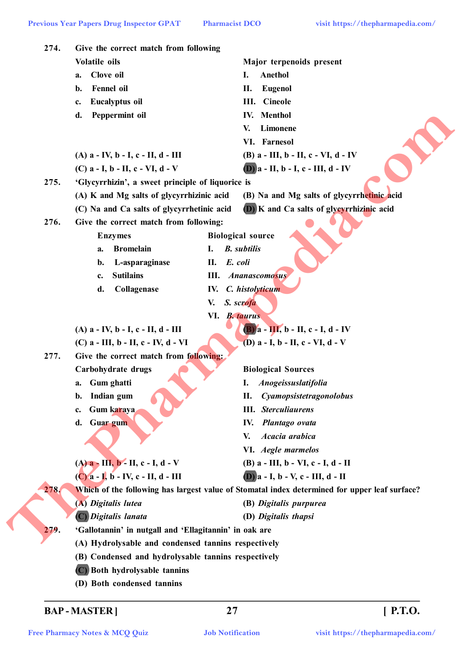| Volatile oils<br>Major terpenoids present<br>Clove oil<br>Anethol<br>Ι.<br>a.<br><b>Fennel</b> oil<br>П.<br><b>Eugenol</b><br>b.<br><b>III.</b> Cineole<br><b>Eucalyptus oil</b><br>c.<br><b>IV.</b> Menthol<br>d.<br>Peppermint oil<br>Limonene<br>V.<br>VI. Farnesol<br>(B) $a$ - III, $b$ - II, $c$ - VI, $d$ - IV<br>$(A)$ a - IV, b - I, c - II, d - III<br>$(D)$ a - II, b - I, c - III, d - IV<br>(C) $a - I$ , $b - II$ , $c - VI$ , $d - V$<br>275.<br>'Glycyrrhizin', a sweet principle of liquorice is<br>(A) K and Mg salts of glycyrrhizinic acid<br>(B) Na and Mg salts of glycyrrhetinic acid<br>(D) K and Ca salts of glycyrrhizinic acid<br>(C) Na and Ca salts of glycyrrhetinic acid<br>276.<br>Give the correct match from following:<br><b>Biological source</b><br><b>Enzymes</b><br><b>Bromelain</b><br><b>B.</b> subtilis<br>I.<br>a.<br>E. coli<br>L-asparaginase<br>II.<br>b.<br><b>Sutilains</b><br><b>III.</b> Ananascomosus<br>c.<br>IV. C. histolyticum<br>Collagenase<br>d.<br>S. scrofa<br>V.<br>VI. B. taurus<br>$(B)$ a - III, b - II, c - I, d - IV<br>$(A)$ a - IV, b - I, c - II, d - III<br>(D) $a - I$ , $b - II$ , $c - VI$ , $d - V$<br>(C) a - III, b - II, c - IV, d - VI<br>277.<br>Give the correct match from following:<br><b>Biological Sources</b><br>Carbohydrate drugs<br>Gum ghatti<br>I.<br><i>Anogeissuslatifolia</i><br>a.<br>Indian gum<br>Cyamopsistetragonolobus<br>П.<br>b.<br><b>III.</b> Sterculiaurens<br>Gum karaya<br>c.<br>Guar gum<br>Plantago ovata<br>d.<br>IV.<br>Acacia arabica<br>V.<br>VI. Aegle marmelos<br>$(A)$ <b>a</b> - III, <b>b</b> - II, <b>c</b> - I, <b>d</b> - V<br>(B) a - III, b - VI, c - I, d - II<br>$(C)$ $\overline{a}$ - $\overline{I}$ , $\overline{b}$ - IV, c - II, d - III<br>$(D)$ a - I, b - V, c - III, d - II<br>278.<br>Which of the following has largest value of Stomatal index determined for upper leaf surface?<br>(A) Digitalis lutea<br>(B) Digitalis purpurea<br>(C) Digitalis lanata<br>(D) Digitalis thapsi<br>'Gallotannin' in nutgall and 'Ellagitannin' in oak are<br>279.<br>(A) Hydrolysable and condensed tannins respectively | 274. | Give the correct match from following               |  |  |  |  |
|------------------------------------------------------------------------------------------------------------------------------------------------------------------------------------------------------------------------------------------------------------------------------------------------------------------------------------------------------------------------------------------------------------------------------------------------------------------------------------------------------------------------------------------------------------------------------------------------------------------------------------------------------------------------------------------------------------------------------------------------------------------------------------------------------------------------------------------------------------------------------------------------------------------------------------------------------------------------------------------------------------------------------------------------------------------------------------------------------------------------------------------------------------------------------------------------------------------------------------------------------------------------------------------------------------------------------------------------------------------------------------------------------------------------------------------------------------------------------------------------------------------------------------------------------------------------------------------------------------------------------------------------------------------------------------------------------------------------------------------------------------------------------------------------------------------------------------------------------------------------------------------------------------------------------------------------------------------------------------------------------------------------------------------------------------------------------------------------------------------------------------------------------|------|-----------------------------------------------------|--|--|--|--|
|                                                                                                                                                                                                                                                                                                                                                                                                                                                                                                                                                                                                                                                                                                                                                                                                                                                                                                                                                                                                                                                                                                                                                                                                                                                                                                                                                                                                                                                                                                                                                                                                                                                                                                                                                                                                                                                                                                                                                                                                                                                                                                                                                      |      |                                                     |  |  |  |  |
|                                                                                                                                                                                                                                                                                                                                                                                                                                                                                                                                                                                                                                                                                                                                                                                                                                                                                                                                                                                                                                                                                                                                                                                                                                                                                                                                                                                                                                                                                                                                                                                                                                                                                                                                                                                                                                                                                                                                                                                                                                                                                                                                                      |      |                                                     |  |  |  |  |
|                                                                                                                                                                                                                                                                                                                                                                                                                                                                                                                                                                                                                                                                                                                                                                                                                                                                                                                                                                                                                                                                                                                                                                                                                                                                                                                                                                                                                                                                                                                                                                                                                                                                                                                                                                                                                                                                                                                                                                                                                                                                                                                                                      |      |                                                     |  |  |  |  |
|                                                                                                                                                                                                                                                                                                                                                                                                                                                                                                                                                                                                                                                                                                                                                                                                                                                                                                                                                                                                                                                                                                                                                                                                                                                                                                                                                                                                                                                                                                                                                                                                                                                                                                                                                                                                                                                                                                                                                                                                                                                                                                                                                      |      |                                                     |  |  |  |  |
|                                                                                                                                                                                                                                                                                                                                                                                                                                                                                                                                                                                                                                                                                                                                                                                                                                                                                                                                                                                                                                                                                                                                                                                                                                                                                                                                                                                                                                                                                                                                                                                                                                                                                                                                                                                                                                                                                                                                                                                                                                                                                                                                                      |      |                                                     |  |  |  |  |
|                                                                                                                                                                                                                                                                                                                                                                                                                                                                                                                                                                                                                                                                                                                                                                                                                                                                                                                                                                                                                                                                                                                                                                                                                                                                                                                                                                                                                                                                                                                                                                                                                                                                                                                                                                                                                                                                                                                                                                                                                                                                                                                                                      |      |                                                     |  |  |  |  |
|                                                                                                                                                                                                                                                                                                                                                                                                                                                                                                                                                                                                                                                                                                                                                                                                                                                                                                                                                                                                                                                                                                                                                                                                                                                                                                                                                                                                                                                                                                                                                                                                                                                                                                                                                                                                                                                                                                                                                                                                                                                                                                                                                      |      |                                                     |  |  |  |  |
|                                                                                                                                                                                                                                                                                                                                                                                                                                                                                                                                                                                                                                                                                                                                                                                                                                                                                                                                                                                                                                                                                                                                                                                                                                                                                                                                                                                                                                                                                                                                                                                                                                                                                                                                                                                                                                                                                                                                                                                                                                                                                                                                                      |      |                                                     |  |  |  |  |
|                                                                                                                                                                                                                                                                                                                                                                                                                                                                                                                                                                                                                                                                                                                                                                                                                                                                                                                                                                                                                                                                                                                                                                                                                                                                                                                                                                                                                                                                                                                                                                                                                                                                                                                                                                                                                                                                                                                                                                                                                                                                                                                                                      |      |                                                     |  |  |  |  |
|                                                                                                                                                                                                                                                                                                                                                                                                                                                                                                                                                                                                                                                                                                                                                                                                                                                                                                                                                                                                                                                                                                                                                                                                                                                                                                                                                                                                                                                                                                                                                                                                                                                                                                                                                                                                                                                                                                                                                                                                                                                                                                                                                      |      |                                                     |  |  |  |  |
|                                                                                                                                                                                                                                                                                                                                                                                                                                                                                                                                                                                                                                                                                                                                                                                                                                                                                                                                                                                                                                                                                                                                                                                                                                                                                                                                                                                                                                                                                                                                                                                                                                                                                                                                                                                                                                                                                                                                                                                                                                                                                                                                                      |      |                                                     |  |  |  |  |
|                                                                                                                                                                                                                                                                                                                                                                                                                                                                                                                                                                                                                                                                                                                                                                                                                                                                                                                                                                                                                                                                                                                                                                                                                                                                                                                                                                                                                                                                                                                                                                                                                                                                                                                                                                                                                                                                                                                                                                                                                                                                                                                                                      |      |                                                     |  |  |  |  |
|                                                                                                                                                                                                                                                                                                                                                                                                                                                                                                                                                                                                                                                                                                                                                                                                                                                                                                                                                                                                                                                                                                                                                                                                                                                                                                                                                                                                                                                                                                                                                                                                                                                                                                                                                                                                                                                                                                                                                                                                                                                                                                                                                      |      |                                                     |  |  |  |  |
|                                                                                                                                                                                                                                                                                                                                                                                                                                                                                                                                                                                                                                                                                                                                                                                                                                                                                                                                                                                                                                                                                                                                                                                                                                                                                                                                                                                                                                                                                                                                                                                                                                                                                                                                                                                                                                                                                                                                                                                                                                                                                                                                                      |      |                                                     |  |  |  |  |
|                                                                                                                                                                                                                                                                                                                                                                                                                                                                                                                                                                                                                                                                                                                                                                                                                                                                                                                                                                                                                                                                                                                                                                                                                                                                                                                                                                                                                                                                                                                                                                                                                                                                                                                                                                                                                                                                                                                                                                                                                                                                                                                                                      |      |                                                     |  |  |  |  |
|                                                                                                                                                                                                                                                                                                                                                                                                                                                                                                                                                                                                                                                                                                                                                                                                                                                                                                                                                                                                                                                                                                                                                                                                                                                                                                                                                                                                                                                                                                                                                                                                                                                                                                                                                                                                                                                                                                                                                                                                                                                                                                                                                      |      |                                                     |  |  |  |  |
|                                                                                                                                                                                                                                                                                                                                                                                                                                                                                                                                                                                                                                                                                                                                                                                                                                                                                                                                                                                                                                                                                                                                                                                                                                                                                                                                                                                                                                                                                                                                                                                                                                                                                                                                                                                                                                                                                                                                                                                                                                                                                                                                                      |      |                                                     |  |  |  |  |
|                                                                                                                                                                                                                                                                                                                                                                                                                                                                                                                                                                                                                                                                                                                                                                                                                                                                                                                                                                                                                                                                                                                                                                                                                                                                                                                                                                                                                                                                                                                                                                                                                                                                                                                                                                                                                                                                                                                                                                                                                                                                                                                                                      |      |                                                     |  |  |  |  |
|                                                                                                                                                                                                                                                                                                                                                                                                                                                                                                                                                                                                                                                                                                                                                                                                                                                                                                                                                                                                                                                                                                                                                                                                                                                                                                                                                                                                                                                                                                                                                                                                                                                                                                                                                                                                                                                                                                                                                                                                                                                                                                                                                      |      |                                                     |  |  |  |  |
|                                                                                                                                                                                                                                                                                                                                                                                                                                                                                                                                                                                                                                                                                                                                                                                                                                                                                                                                                                                                                                                                                                                                                                                                                                                                                                                                                                                                                                                                                                                                                                                                                                                                                                                                                                                                                                                                                                                                                                                                                                                                                                                                                      |      |                                                     |  |  |  |  |
|                                                                                                                                                                                                                                                                                                                                                                                                                                                                                                                                                                                                                                                                                                                                                                                                                                                                                                                                                                                                                                                                                                                                                                                                                                                                                                                                                                                                                                                                                                                                                                                                                                                                                                                                                                                                                                                                                                                                                                                                                                                                                                                                                      |      |                                                     |  |  |  |  |
|                                                                                                                                                                                                                                                                                                                                                                                                                                                                                                                                                                                                                                                                                                                                                                                                                                                                                                                                                                                                                                                                                                                                                                                                                                                                                                                                                                                                                                                                                                                                                                                                                                                                                                                                                                                                                                                                                                                                                                                                                                                                                                                                                      |      |                                                     |  |  |  |  |
|                                                                                                                                                                                                                                                                                                                                                                                                                                                                                                                                                                                                                                                                                                                                                                                                                                                                                                                                                                                                                                                                                                                                                                                                                                                                                                                                                                                                                                                                                                                                                                                                                                                                                                                                                                                                                                                                                                                                                                                                                                                                                                                                                      |      |                                                     |  |  |  |  |
|                                                                                                                                                                                                                                                                                                                                                                                                                                                                                                                                                                                                                                                                                                                                                                                                                                                                                                                                                                                                                                                                                                                                                                                                                                                                                                                                                                                                                                                                                                                                                                                                                                                                                                                                                                                                                                                                                                                                                                                                                                                                                                                                                      |      |                                                     |  |  |  |  |
|                                                                                                                                                                                                                                                                                                                                                                                                                                                                                                                                                                                                                                                                                                                                                                                                                                                                                                                                                                                                                                                                                                                                                                                                                                                                                                                                                                                                                                                                                                                                                                                                                                                                                                                                                                                                                                                                                                                                                                                                                                                                                                                                                      |      |                                                     |  |  |  |  |
|                                                                                                                                                                                                                                                                                                                                                                                                                                                                                                                                                                                                                                                                                                                                                                                                                                                                                                                                                                                                                                                                                                                                                                                                                                                                                                                                                                                                                                                                                                                                                                                                                                                                                                                                                                                                                                                                                                                                                                                                                                                                                                                                                      |      |                                                     |  |  |  |  |
|                                                                                                                                                                                                                                                                                                                                                                                                                                                                                                                                                                                                                                                                                                                                                                                                                                                                                                                                                                                                                                                                                                                                                                                                                                                                                                                                                                                                                                                                                                                                                                                                                                                                                                                                                                                                                                                                                                                                                                                                                                                                                                                                                      |      |                                                     |  |  |  |  |
|                                                                                                                                                                                                                                                                                                                                                                                                                                                                                                                                                                                                                                                                                                                                                                                                                                                                                                                                                                                                                                                                                                                                                                                                                                                                                                                                                                                                                                                                                                                                                                                                                                                                                                                                                                                                                                                                                                                                                                                                                                                                                                                                                      |      |                                                     |  |  |  |  |
|                                                                                                                                                                                                                                                                                                                                                                                                                                                                                                                                                                                                                                                                                                                                                                                                                                                                                                                                                                                                                                                                                                                                                                                                                                                                                                                                                                                                                                                                                                                                                                                                                                                                                                                                                                                                                                                                                                                                                                                                                                                                                                                                                      |      |                                                     |  |  |  |  |
|                                                                                                                                                                                                                                                                                                                                                                                                                                                                                                                                                                                                                                                                                                                                                                                                                                                                                                                                                                                                                                                                                                                                                                                                                                                                                                                                                                                                                                                                                                                                                                                                                                                                                                                                                                                                                                                                                                                                                                                                                                                                                                                                                      |      |                                                     |  |  |  |  |
|                                                                                                                                                                                                                                                                                                                                                                                                                                                                                                                                                                                                                                                                                                                                                                                                                                                                                                                                                                                                                                                                                                                                                                                                                                                                                                                                                                                                                                                                                                                                                                                                                                                                                                                                                                                                                                                                                                                                                                                                                                                                                                                                                      |      |                                                     |  |  |  |  |
|                                                                                                                                                                                                                                                                                                                                                                                                                                                                                                                                                                                                                                                                                                                                                                                                                                                                                                                                                                                                                                                                                                                                                                                                                                                                                                                                                                                                                                                                                                                                                                                                                                                                                                                                                                                                                                                                                                                                                                                                                                                                                                                                                      |      |                                                     |  |  |  |  |
|                                                                                                                                                                                                                                                                                                                                                                                                                                                                                                                                                                                                                                                                                                                                                                                                                                                                                                                                                                                                                                                                                                                                                                                                                                                                                                                                                                                                                                                                                                                                                                                                                                                                                                                                                                                                                                                                                                                                                                                                                                                                                                                                                      |      |                                                     |  |  |  |  |
|                                                                                                                                                                                                                                                                                                                                                                                                                                                                                                                                                                                                                                                                                                                                                                                                                                                                                                                                                                                                                                                                                                                                                                                                                                                                                                                                                                                                                                                                                                                                                                                                                                                                                                                                                                                                                                                                                                                                                                                                                                                                                                                                                      |      |                                                     |  |  |  |  |
|                                                                                                                                                                                                                                                                                                                                                                                                                                                                                                                                                                                                                                                                                                                                                                                                                                                                                                                                                                                                                                                                                                                                                                                                                                                                                                                                                                                                                                                                                                                                                                                                                                                                                                                                                                                                                                                                                                                                                                                                                                                                                                                                                      |      |                                                     |  |  |  |  |
|                                                                                                                                                                                                                                                                                                                                                                                                                                                                                                                                                                                                                                                                                                                                                                                                                                                                                                                                                                                                                                                                                                                                                                                                                                                                                                                                                                                                                                                                                                                                                                                                                                                                                                                                                                                                                                                                                                                                                                                                                                                                                                                                                      |      |                                                     |  |  |  |  |
|                                                                                                                                                                                                                                                                                                                                                                                                                                                                                                                                                                                                                                                                                                                                                                                                                                                                                                                                                                                                                                                                                                                                                                                                                                                                                                                                                                                                                                                                                                                                                                                                                                                                                                                                                                                                                                                                                                                                                                                                                                                                                                                                                      |      |                                                     |  |  |  |  |
|                                                                                                                                                                                                                                                                                                                                                                                                                                                                                                                                                                                                                                                                                                                                                                                                                                                                                                                                                                                                                                                                                                                                                                                                                                                                                                                                                                                                                                                                                                                                                                                                                                                                                                                                                                                                                                                                                                                                                                                                                                                                                                                                                      |      |                                                     |  |  |  |  |
| (C) Both hydrolysable tannins                                                                                                                                                                                                                                                                                                                                                                                                                                                                                                                                                                                                                                                                                                                                                                                                                                                                                                                                                                                                                                                                                                                                                                                                                                                                                                                                                                                                                                                                                                                                                                                                                                                                                                                                                                                                                                                                                                                                                                                                                                                                                                                        |      | (B) Condensed and hydrolysable tannins respectively |  |  |  |  |

**BAP - MASTER ] 27 [ P.T.O.**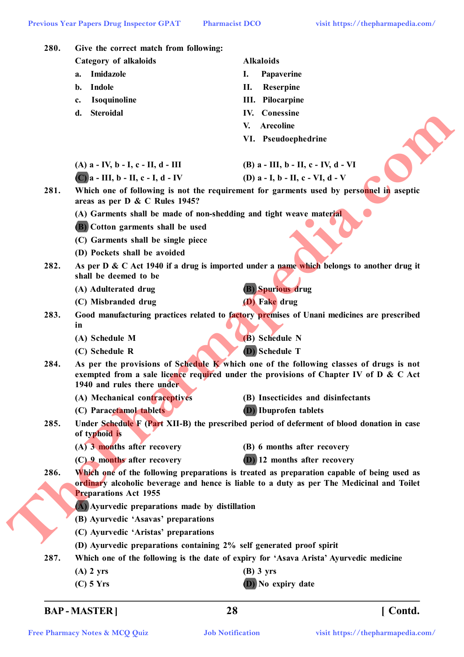| 280. | Give the correct match from following:                               |                                                                                                                                                                                 |  |  |
|------|----------------------------------------------------------------------|---------------------------------------------------------------------------------------------------------------------------------------------------------------------------------|--|--|
|      | <b>Category of alkaloids</b>                                         | <b>Alkaloids</b>                                                                                                                                                                |  |  |
|      | Imidazole<br>a.                                                      | I.<br>Papaverine                                                                                                                                                                |  |  |
|      | Indole<br>b.                                                         | Н.<br><b>Reserpine</b>                                                                                                                                                          |  |  |
|      | Isoquinoline<br>c.                                                   | III. Pilocarpine                                                                                                                                                                |  |  |
|      | <b>Steroidal</b><br>d.                                               | Conessine<br>IV.                                                                                                                                                                |  |  |
|      |                                                                      | <b>Arecoline</b><br>V.                                                                                                                                                          |  |  |
|      |                                                                      | VI. Pseudoephedrine                                                                                                                                                             |  |  |
|      | $(A)$ a - IV, b - I, c - II, d - III                                 | (B) $a$ - III, $b$ - II, $c$ - IV, $d$ - VI                                                                                                                                     |  |  |
|      | $(C)$ a - III, b - II, c - I, d - IV                                 | (D) $a - I$ , $b - II$ , $c - VI$ , $d - V$                                                                                                                                     |  |  |
| 281. | areas as per D & C Rules 1945?                                       | Which one of following is not the requirement for garments used by personnel in aseptic                                                                                         |  |  |
|      | (A) Garments shall be made of non-shedding and tight weave material  |                                                                                                                                                                                 |  |  |
|      | (B) Cotton garments shall be used                                    |                                                                                                                                                                                 |  |  |
|      | (C) Garments shall be single piece                                   |                                                                                                                                                                                 |  |  |
|      | (D) Pockets shall be avoided                                         |                                                                                                                                                                                 |  |  |
| 282. | shall be deemed to be                                                | As per D & C Act 1940 if a drug is imported under a name which belongs to another drug it                                                                                       |  |  |
|      | (A) Adulterated drug                                                 | <b>(B)</b> Spurious drug                                                                                                                                                        |  |  |
|      | (C) Misbranded drug                                                  | (D) Fake drug                                                                                                                                                                   |  |  |
| 283. | in                                                                   | Good manufacturing practices related to factory premises of Unani medicines are prescribed                                                                                      |  |  |
|      | (A) Schedule M                                                       | (B) Schedule N                                                                                                                                                                  |  |  |
|      | (C) Schedule R                                                       | (D) Schedule T                                                                                                                                                                  |  |  |
| 284. | 1940 and rules there under                                           | As per the provisions of Schedule K which one of the following classes of drugs is not<br>exempted from a sale licence required under the provisions of Chapter IV of D & C Act |  |  |
|      | (A) Mechanical contraceptives                                        | (B) Insecticides and disinfectants                                                                                                                                              |  |  |
|      | (C) Paracetamol tablets                                              | <b>D</b> ) Ibuprofen tablets                                                                                                                                                    |  |  |
| 285. | of typhoid is                                                        | Under Schedule F (Part XII-B) the prescribed period of deferment of blood donation in case                                                                                      |  |  |
|      | (A) 3 months after recovery                                          | (B) 6 months after recovery                                                                                                                                                     |  |  |
|      | (C) 9 months after recovery                                          | (D) 12 months after recovery                                                                                                                                                    |  |  |
| 286. |                                                                      | Which one of the following preparations is treated as preparation capable of being used as                                                                                      |  |  |
|      | <b>Preparations Act 1955</b>                                         | ordinary alcoholic beverage and hence is liable to a duty as per The Medicinal and Toilet                                                                                       |  |  |
|      | (A) Ayurvedic preparations made by distillation                      |                                                                                                                                                                                 |  |  |
|      | (B) Ayurvedic 'Asavas' preparations                                  |                                                                                                                                                                                 |  |  |
|      | (C) Ayurvedic 'Aristas' preparations                                 |                                                                                                                                                                                 |  |  |
|      | (D) Ayurvedic preparations containing 2% self generated proof spirit |                                                                                                                                                                                 |  |  |
| 287. |                                                                      | Which one of the following is the date of expiry for 'Asava Arista' Ayurvedic medicine                                                                                          |  |  |
|      |                                                                      |                                                                                                                                                                                 |  |  |
|      | $(A)$ 2 yrs                                                          | $(B)$ 3 yrs                                                                                                                                                                     |  |  |

# **BAP - MASTER ] 28 [ Contd.**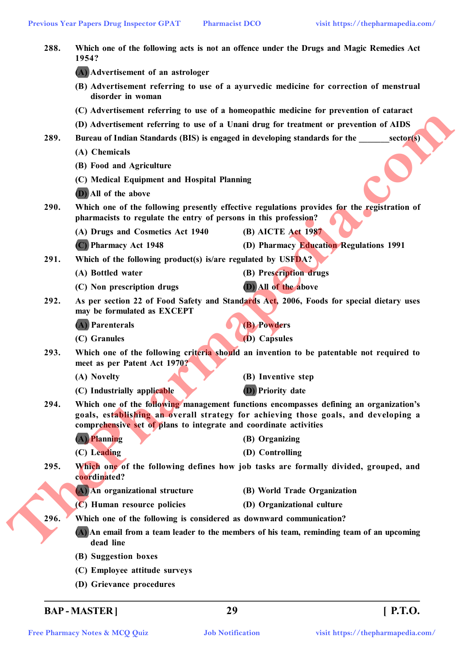| 288. | Which one of the following acts is not an offence under the Drugs and Magic Remedies Act<br>1954?                        |                                                                                                                                                                               |  |  |
|------|--------------------------------------------------------------------------------------------------------------------------|-------------------------------------------------------------------------------------------------------------------------------------------------------------------------------|--|--|
|      | (A) Advertisement of an astrologer                                                                                       |                                                                                                                                                                               |  |  |
|      | disorder in woman                                                                                                        | (B) Advertisement referring to use of a ayurvedic medicine for correction of menstrual                                                                                        |  |  |
|      |                                                                                                                          | (C) Advertisement referring to use of a homeopathic medicine for prevention of cataract                                                                                       |  |  |
|      |                                                                                                                          | (D) Advertisement referring to use of a Unani drug for treatment or prevention of AIDS                                                                                        |  |  |
| 289. |                                                                                                                          | Bureau of Indian Standards (BIS) is engaged in developing standards for the<br>sector(s)                                                                                      |  |  |
|      | (A) Chemicals                                                                                                            |                                                                                                                                                                               |  |  |
|      | (B) Food and Agriculture                                                                                                 |                                                                                                                                                                               |  |  |
|      | (C) Medical Equipment and Hospital Planning                                                                              |                                                                                                                                                                               |  |  |
|      | (D) All of the above                                                                                                     |                                                                                                                                                                               |  |  |
| 290. | pharmacists to regulate the entry of persons in this profession?                                                         | Which one of the following presently effective regulations provides for the registration of                                                                                   |  |  |
|      | (A) Drugs and Cosmetics Act 1940                                                                                         | (B) AICTE Act 1987                                                                                                                                                            |  |  |
|      | (C) Pharmacy Act 1948                                                                                                    | (D) Pharmacy Education Regulations 1991                                                                                                                                       |  |  |
| 291. | Which of the following product(s) is/are regulated by USFDA?                                                             |                                                                                                                                                                               |  |  |
|      | (A) Bottled water                                                                                                        | (B) Prescription drugs                                                                                                                                                        |  |  |
|      | (C) Non prescription drugs                                                                                               | (D) All of the above                                                                                                                                                          |  |  |
| 292. | may be formulated as EXCEPT                                                                                              | As per section 22 of Food Safety and Standards Act, 2006, Foods for special dietary uses                                                                                      |  |  |
|      | (A) Parenterals                                                                                                          | (B) Powders                                                                                                                                                                   |  |  |
|      | (C) Granules                                                                                                             | (D) Capsules                                                                                                                                                                  |  |  |
| 293. | Which one of the following criteria should an invention to be patentable not required to<br>meet as per Patent Act 1970? |                                                                                                                                                                               |  |  |
|      | (A) Novelty                                                                                                              | (B) Inventive step                                                                                                                                                            |  |  |
|      | (C) Industrially applicable                                                                                              | (D) Priority date                                                                                                                                                             |  |  |
| 294. | comprehensive set of plans to integrate and coordinate activities                                                        | Which one of the following management functions encompasses defining an organization's<br>goals, establishing an overall strategy for achieving those goals, and developing a |  |  |
|      | (A) Planning                                                                                                             | (B) Organizing                                                                                                                                                                |  |  |
|      | (C) Leading                                                                                                              | (D) Controlling                                                                                                                                                               |  |  |
| 295. | coordinated?                                                                                                             | Which one of the following defines how job tasks are formally divided, grouped, and                                                                                           |  |  |
|      | (A) An organizational structure                                                                                          | (B) World Trade Organization                                                                                                                                                  |  |  |
|      | $(C)$ Human resource policies                                                                                            | (D) Organizational culture                                                                                                                                                    |  |  |
| 296. | Which one of the following is considered as downward communication?                                                      |                                                                                                                                                                               |  |  |
|      | dead line                                                                                                                | (A) An email from a team leader to the members of his team, reminding team of an upcoming                                                                                     |  |  |
|      | (B) Suggestion boxes                                                                                                     |                                                                                                                                                                               |  |  |
|      | (C) Employee attitude surveys                                                                                            |                                                                                                                                                                               |  |  |
|      |                                                                                                                          |                                                                                                                                                                               |  |  |

# **BAP - MASTER ] 29 [ P.T.O.**